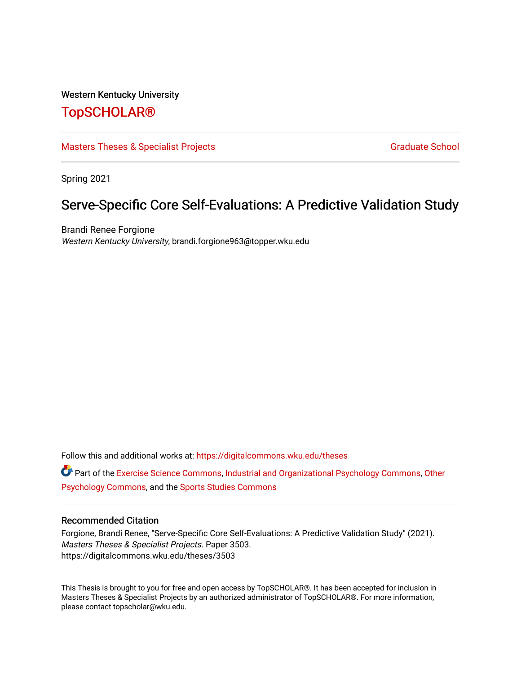### Western Kentucky University

# [TopSCHOLAR®](https://digitalcommons.wku.edu/)

[Masters Theses & Specialist Projects](https://digitalcommons.wku.edu/theses) [Graduate School](https://digitalcommons.wku.edu/Graduate) Graduate School

Spring 2021

# Serve-Specific Core Self-Evaluations: A Predictive Validation Study

Brandi Renee Forgione Western Kentucky University, brandi.forgione963@topper.wku.edu

Follow this and additional works at: [https://digitalcommons.wku.edu/theses](https://digitalcommons.wku.edu/theses?utm_source=digitalcommons.wku.edu%2Ftheses%2F3503&utm_medium=PDF&utm_campaign=PDFCoverPages) 

Part of the [Exercise Science Commons](http://network.bepress.com/hgg/discipline/1091?utm_source=digitalcommons.wku.edu%2Ftheses%2F3503&utm_medium=PDF&utm_campaign=PDFCoverPages), [Industrial and Organizational Psychology Commons](http://network.bepress.com/hgg/discipline/412?utm_source=digitalcommons.wku.edu%2Ftheses%2F3503&utm_medium=PDF&utm_campaign=PDFCoverPages), [Other](http://network.bepress.com/hgg/discipline/415?utm_source=digitalcommons.wku.edu%2Ftheses%2F3503&utm_medium=PDF&utm_campaign=PDFCoverPages) [Psychology Commons,](http://network.bepress.com/hgg/discipline/415?utm_source=digitalcommons.wku.edu%2Ftheses%2F3503&utm_medium=PDF&utm_campaign=PDFCoverPages) and the [Sports Studies Commons](http://network.bepress.com/hgg/discipline/1198?utm_source=digitalcommons.wku.edu%2Ftheses%2F3503&utm_medium=PDF&utm_campaign=PDFCoverPages)

#### Recommended Citation

Forgione, Brandi Renee, "Serve-Specific Core Self-Evaluations: A Predictive Validation Study" (2021). Masters Theses & Specialist Projects. Paper 3503. https://digitalcommons.wku.edu/theses/3503

This Thesis is brought to you for free and open access by TopSCHOLAR®. It has been accepted for inclusion in Masters Theses & Specialist Projects by an authorized administrator of TopSCHOLAR®. For more information, please contact topscholar@wku.edu.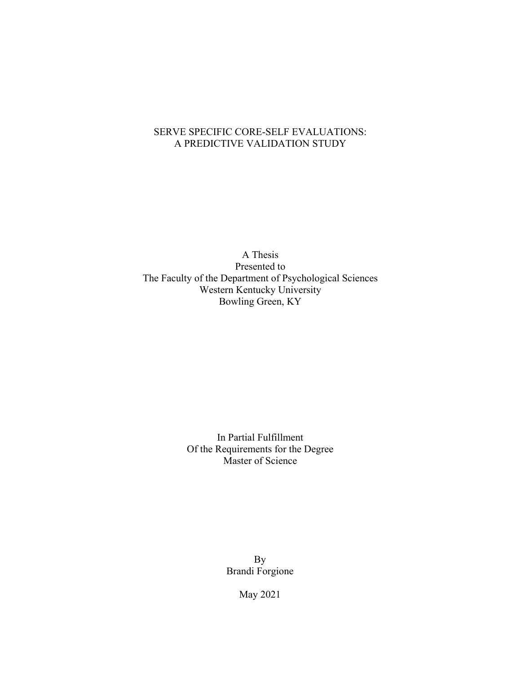## SERVE SPECIFIC CORE-SELF EVALUATIONS: SERVE SPECIFIC CORE-SELF EVALUATIONS: A PREDICTIVE VALIDATION STUDY A PREDICTIVE VALIDATION STUDY

A Thesis Presented to The Faculty of the Department of Psychological Sciences Western Kentucky University Bowling Green, KY

> In Partial Fulfillment Of the Requirements for the Degree Master of Science

> > By Brandi Forgione

> > > May 2021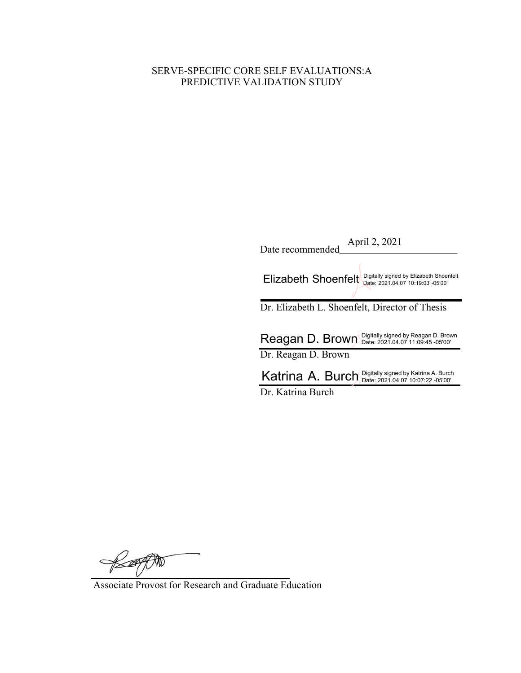# SERVE-SPECIFIC CORE SELF EVALUATIONS: A PREDICTIVE VALIDATION STUDY

| April 2, 2021<br>Date recommended                                                                   |
|-----------------------------------------------------------------------------------------------------|
| Digitally signed by Elizabeth Shoenfelt<br>Elizabeth Shoenfelt<br>Date: 2021.04.07 10:19:03 -05'00' |
| Dr. Elizabeth L. Shoenfelt, Director of Thesis                                                      |
|                                                                                                     |
| Reagan D. Brown Digitally signed by Reagan D. Brown                                                 |
| Dr. Reagan D. Brown                                                                                 |
| Katrina A. Burch Digitally signed by Katrina A. Burch                                               |
| Dr. Katrina Burch                                                                                   |

Response

Associate Provost for Research and Graduate Education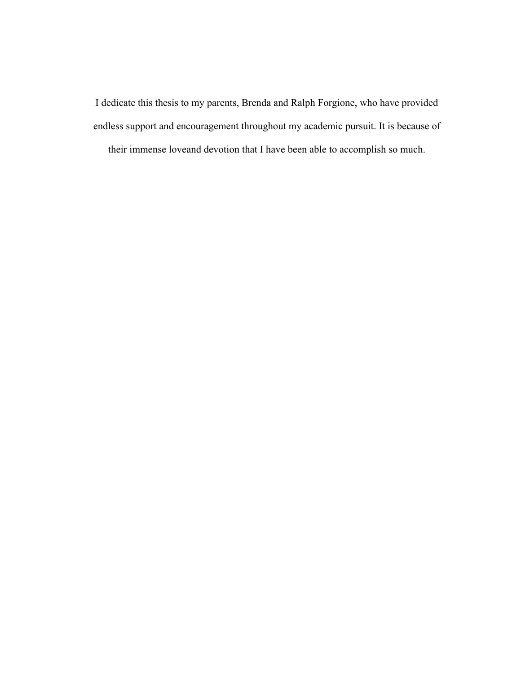I dedicate this thesis to my parents, Brenda and Ralph Forgione, who have provided endless support and encouragement throughout my academic pursuit. It is because of

their immense love and devotion that I have been able to accomplish so much.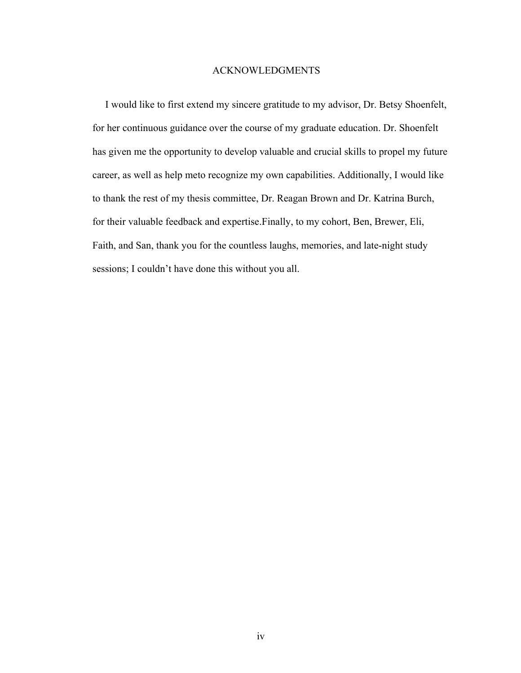### ACKNOWLEDGMENTS

 I would like to first extend my sincere gratitude to my advisor, Dr. Betsy Shoenfelt, for her continuous guidance over the course of my graduate education. Dr. Shoenfelt has given me the opportunity to develop valuable and crucial skills to propel my future career, as well as help meto recognize my own capabilities. Additionally, I would like to thank the rest of my thesis committee, Dr. Reagan Brown and Dr. Katrina Burch, for their valuable feedback and expertise.Finally, to my cohort, Ben, Brewer, Eli, Faith, and San, thank you for the countless laughs, memories, and late-night study sessions; I couldn't have done this without you all.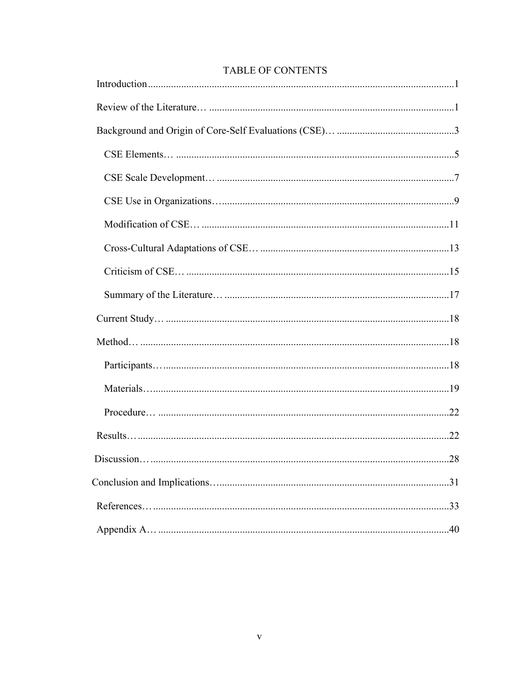| <b>TABLE OF CONTENTS</b> |
|--------------------------|

| .28 |
|-----|
|     |
|     |
|     |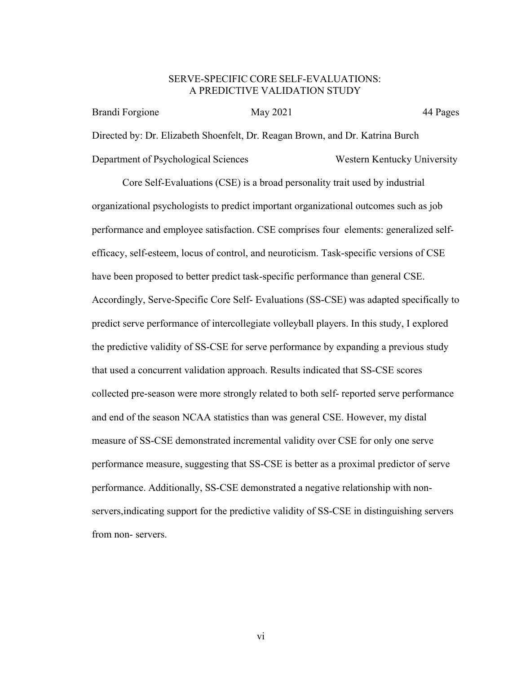### SERVE-SPECIFIC CORE SELF-EVALUATIONS: A PREDICTIVE VALIDATION STUDY

Brandi Forgione May 2021 44 Pages Directed by: Dr. Elizabeth Shoenfelt, Dr. Reagan Brown, and Dr. Katrina Burch Department of Psychological Sciences Western Kentucky University

Core Self-Evaluations (CSE) is a broad personality trait used by industrial organizational psychologists to predict important organizational outcomes such as job performance and employee satisfaction. CSE comprises four elements: generalized selfefficacy, self-esteem, locus of control, and neuroticism. Task-specific versions of CSE have been proposed to better predict task-specific performance than general CSE. Accordingly, Serve-Specific Core Self- Evaluations (SS-CSE) was adapted specifically to predict serve performance of intercollegiate volleyball players. In this study, I explored the predictive validity of SS-CSE for serve performance by expanding a previous study that used a concurrent validation approach. Results indicated that SS-CSE scores collected pre-season were more strongly related to both self- reported serve performance and end of the season NCAA statistics than was general CSE. However, my distal measure of SS-CSE demonstrated incremental validity over CSE for only one serve performance measure, suggesting that SS-CSE is better as a proximal predictor of serve performance. Additionally, SS-CSE demonstrated a negative relationship with nonservers,indicating support for the predictive validity of SS-CSE in distinguishing servers from non- servers.

vi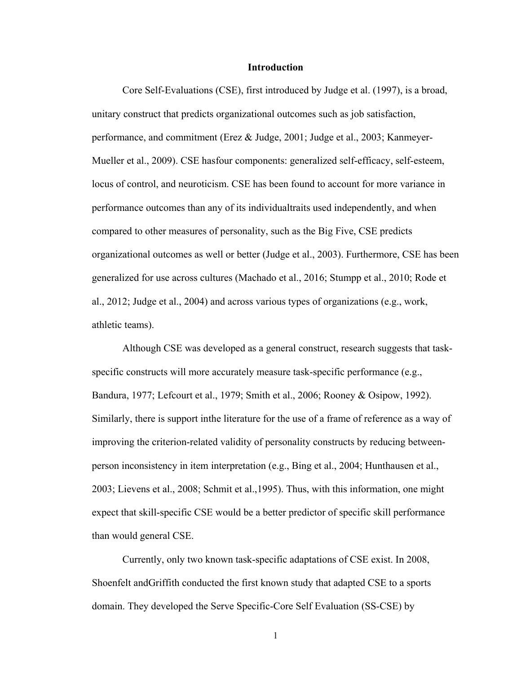#### **Introduction**

<span id="page-7-0"></span>Core Self-Evaluations (CSE), first introduced by Judge et al. (1997), is a broad, unitary construct that predicts organizational outcomes such as job satisfaction, performance, and commitment (Erez & Judge, 2001; Judge et al., 2003; Kanmeyer-Mueller et al., 2009). CSE has four components: generalized self-efficacy, self-esteem, locus of control, and neuroticism. CSE has been found to account for more variance in performance outcomes than any of its individual traits used independently, and when compared to other measures of personality, such as the Big Five, CSE predicts organizational outcomes as well or better (Judge et al., 2003). Furthermore, CSE has been generalized for use across cultures (Machado et al., 2016; Stumpp et al., 2010; Rode et al., 2012; Judge et al., 2004) and across various types of organizations (e.g., work, athletic teams).

Although CSE was developed as a general construct, research suggests that taskspecific constructs will more accurately measure task-specific performance (e.g., Bandura, 1977; Lefcourt et al., 1979; Smith et al., 2006; Rooney & Osipow, 1992). Similarly, there is support inthe literature for the use of a frame of reference as a way of improving the criterion-related validity of personality constructs by reducing betweenperson inconsistency in item interpretation (e.g., Bing et al., 2004; Hunthausen et al., 2003; Lievens et al., 2008; Schmit et al., 1995). Thus, with this information, one might expect that skill-specific CSE would be a better predictor of specific skill performance than would general CSE.

Currently, only two known task-specific adaptations of CSE exist. In 2008, Shoenfelt and Griffith conducted the first known study that adapted CSE to a sports domain. They developed the Serve Specific-Core Self Evaluation (SS-CSE) by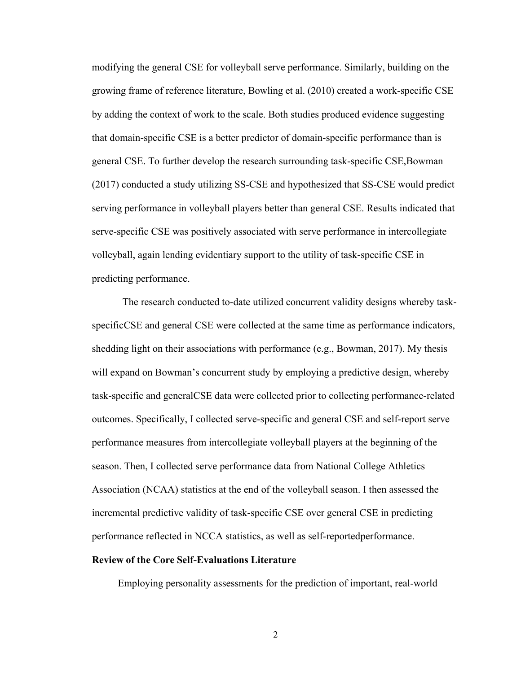modifying the general CSE for volleyball serve performance. Similarly, building on the growing frame of reference literature, Bowling et al. (2010) created a work-specific CSE by adding the context of work to the scale. Both studies produced evidence suggesting that domain-specific CSE is a better predictor of domain-specific performance than is general CSE. To further develop the research surrounding task-specific CSE,Bowman (2017) conducted a study utilizing SS-CSE and hypothesized that SS-CSE would predict serving performance in volleyball players better than general CSE. Results indicated that serve-specific CSE was positively associated with serve performance in intercollegiate volleyball, again lending evidentiary support to the utility of task-specific CSE in predicting performance.

 The research conducted to-date utilized concurrent validity designs whereby taskspecificCSE and general CSE were collected at the same time as performance indicators, shedding light on their associations with performance (e.g., Bowman, 2017). My thesis will expand on Bowman's concurrent study by employing a predictive design, whereby task-specific and generalCSE data were collected prior to collecting performance-related outcomes. Specifically, I collected serve-specific and general CSE and self-report serve performance measures from intercollegiate volleyball players at the beginning of the season. Then, I collected serve performance data from National College Athletics Association (NCAA) statistics at the end of the volleyball season. I then assessed the incremental predictive validity of task-specific CSE over general CSE in predicting performance reflected in NCCA statistics, as well as self-reported performance.

#### **Review of the Core Self-Evaluations Literature**

Employing personality assessments for the prediction of important, real-world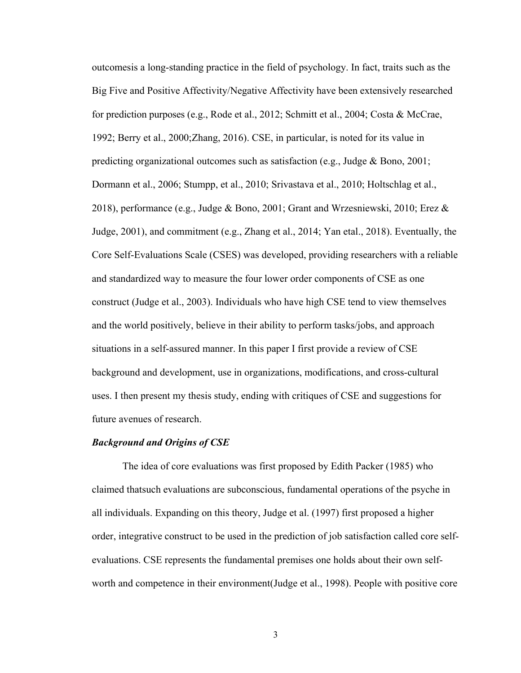outcomes is a long-standing practice in the field of psychology. In fact, traits such as the Big Five and Positive Affectivity/Negative Affectivity have been extensively researched for prediction purposes (e.g., Rode et al., 2012; Schmitt et al., 2004; Costa & McCrae, 1992; Berry et al., 2000; Zhang, 2016). CSE, in particular, is noted for its value in predicting organizational outcomes such as satisfaction (e.g., Judge & Bono, 2001; Dormann et al., 2006; Stumpp, et al., 2010; Srivastava et al., 2010; Holtschlag et al., 2018), performance (e.g., Judge & Bono, 2001; Grant and Wrzesniewski, 2010; Erez & Judge, 2001), and commitment (e.g., Zhang et al., 2014; Yan et al., 2018). Eventually, the Core Self-Evaluations Scale (CSES) was developed, providing researchers with a reliable and standardized way to measure the four lower order components of CSE as one construct (Judge et al., 2003). Individuals who have high CSE tend to view themselves and the world positively, believe in their ability to perform tasks/jobs, and approach situations in a self-assured manner. In this paper I first provide a review of CSE background and development, use in organizations, modifications, and cross-cultural uses. I then present my thesis study, ending with critiques of CSE and suggestions for future avenues of research.

#### *Background and Origins of CSE*

 The idea of core evaluations was first proposed by Edith Packer (1985) who claimed thatsuch evaluations are subconscious, fundamental operations of the psyche in all individuals. Expanding on this theory, Judge et al. (1997) first proposed a higher order, integrative construct to be used in the prediction of job satisfaction called core selfevaluations. CSE represents the fundamental premises one holds about their own selfworth and competence in their environment (Judge et al., 1998). People with positive core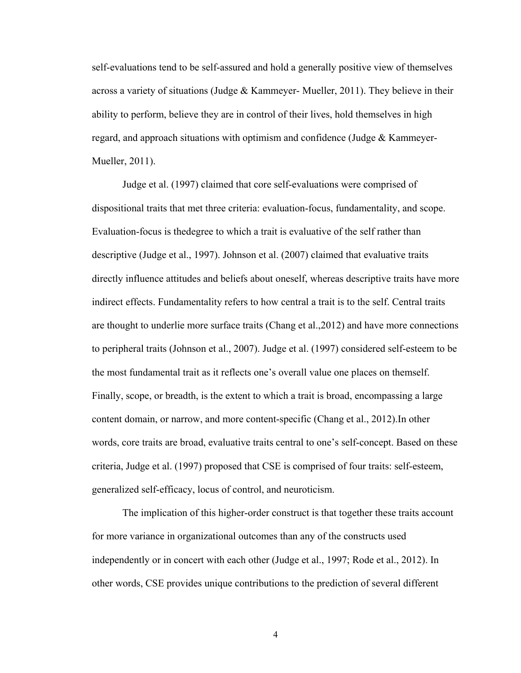self-evaluations tend to be self-assured and hold a generally positive view of themselves across a variety of situations (Judge  $&$  Kammeyer-Mueller, 2011). They believe in their ability to perform, believe they are in control of their lives, hold themselves in high regard, and approach situations with optimism and confidence (Judge & Kammeyer-Mueller, 2011).

 Judge et al. (1997) claimed that core self-evaluations were comprised of dispositional traits that met three criteria: evaluation-focus, fundamentality, and scope. Evaluation-focus is the degree to which a trait is evaluative of the self rather than descriptive (Judge et al., 1997). Johnson et al. (2007) claimed that evaluative traits directly influence attitudes and beliefs about oneself, whereas descriptive traits have more indirect effects. Fundamentality refers to how central a trait is to the self. Central traits are thought to underlie more surface traits (Chang et al.,2012) and have more connections to peripheral traits (Johnson et al., 2007). Judge et al. (1997) considered self-esteem to be the most fundamental trait as it reflects one's overall value one places on themself. Finally, scope, or breadth, is the extent to which a trait is broad, encompassing a large content domain, or narrow, and more content-specific (Chang et al., 2012). In other words, core traits are broad, evaluative traits central to one's self-concept. Based on these criteria, Judge et al. (1997) proposed that CSE is comprised of four traits: self-esteem, generalized self-efficacy, locus of control, and neuroticism.

 The implication of this higher-order construct is that together these traits account for more variance in organizational outcomes than any of the constructs used independently or in concert with each other (Judge et al., 1997; Rode et al., 2012). In other words, CSE provides unique contributions to the prediction of several different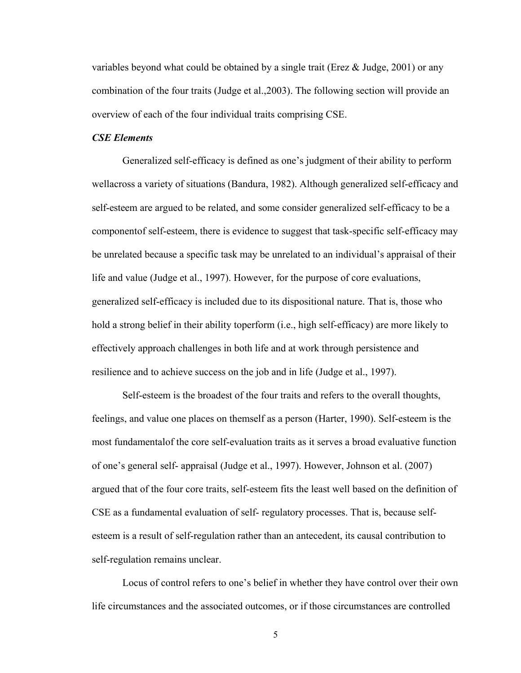variables beyond what could be obtained by a single trait (Erez  $\&$  Judge, 2001) or any combination of the four traits (Judge et al., 2003). The following section will provide an overview of each of the four individual traits comprising CSE.

### <span id="page-11-0"></span>*CSE Elements*

Generalized self-efficacy is defined as one's judgment of their ability to perform wellacross a variety of situations (Bandura, 1982). Although generalized self-efficacy and self-esteem are argued to be related, and some consider generalized self-efficacy to be a component of self-esteem, there is evidence to suggest that task-specific self-efficacy may be unrelated because a specific task may be unrelated to an individual's appraisal of their life and value (Judge et al., 1997). However, for the purpose of core evaluations, generalized self-efficacy is included due to its dispositional nature. That is, those who hold a strong belief in their ability to perform (i.e., high self-efficacy) are more likely to effectively approach challenges in both life and at work through persistence and resilience and to achieve success on the job and in life (Judge et al., 1997).

Self-esteem is the broadest of the four traits and refers to the overall thoughts, feelings, and value one places on themself as a person (Harter, 1990). Self-esteem is the most fundamental of the core self-evaluation traits as it serves a broad evaluative function of one's general self- appraisal (Judge et al., 1997). However, Johnson et al. (2007) argued that of the four core traits, self-esteem fits the least well based on the definition of CSE as a fundamental evaluation of self- regulatory processes. That is, because selfesteem is a result of self-regulation rather than an antecedent, its causal contribution to self-regulation remains unclear.

 Locus of control refers to one's belief in whether they have control over their own life circumstances and the associated outcomes, or if those circumstances are controlled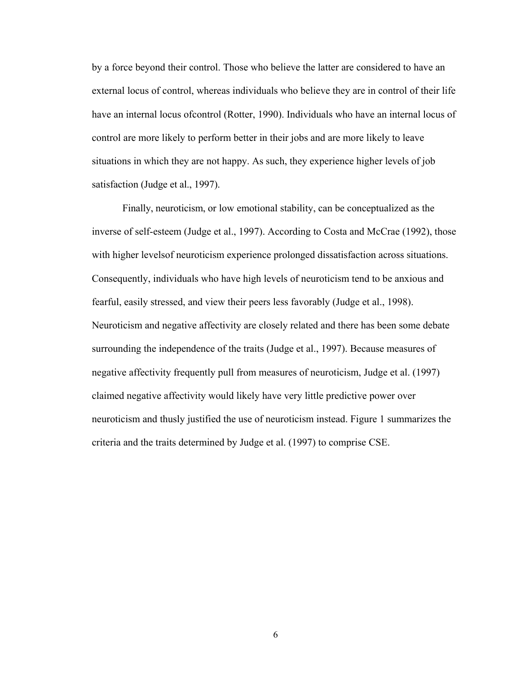by a force beyond their control. Those who believe the latter are considered to have an external locus of control, whereas individuals who believe they are in control of their life have an internal locus of control (Rotter, 1990). Individuals who have an internal locus of control are more likely to perform better in their jobs and are more likely to leave situations in which they are not happy. As such, they experience higher levels of job satisfaction (Judge et al., 1997).

Finally, neuroticism, or low emotional stability, can be conceptualized as the inverse of self-esteem (Judge et al., 1997). According to Costa and McCrae (1992), those with higher levels of neuroticism experience prolonged dissatisfaction across situations. Consequently, individuals who have high levels of neuroticism tend to be anxious and fearful, easily stressed, and view their peers less favorably (Judge et al., 1998). Neuroticism and negative affectivity are closely related and there has been some debate surrounding the independence of the traits (Judge et al., 1997). Because measures of negative affectivity frequently pull from measures of neuroticism, Judge et al. (1997) claimed negative affectivity would likely have very little predictive power over neuroticism and thusly justified the use of neuroticism instead. Figure 1 summarizes the criteria and the traits determined by Judge et al. (1997) to comprise CSE.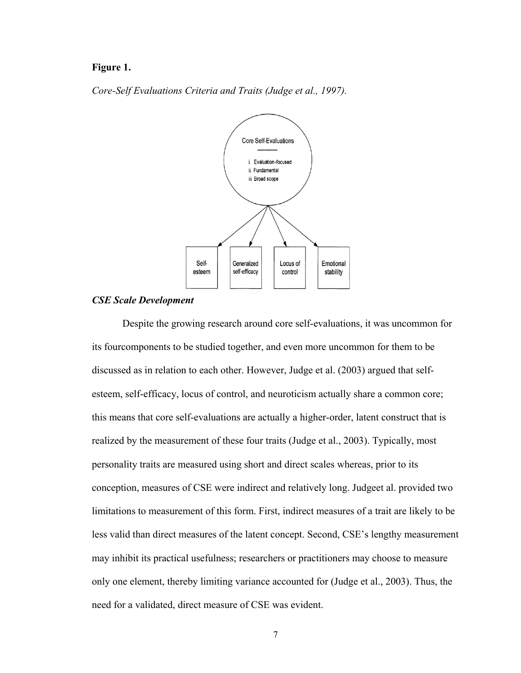### **Figure 1.**

*Core-Self Evaluations Criteria and Traits (Judge et al., 1997).* 



#### <span id="page-13-0"></span>*CSE Scale Development*

 Despite the growing research around core self-evaluations, it was uncommon for its four components to be studied together, and even more uncommon for them to be discussed as in relation to each other. However, Judge et al. (2003) argued that selfesteem, self-efficacy, locus of control, and neuroticism actually share a common core; this means that core self-evaluations are actually a higher-order, latent construct that is realized by the measurement of these four traits (Judge et al., 2003). Typically, most personality traits are measured using short and direct scales whereas, prior to its conception, measures of CSE were indirect and relatively long. Judgeet al. provided two limitations to measurement of this form. First, indirect measures of a trait are likely to be less valid than direct measures of the latent concept. Second, CSE's lengthy measurement may inhibit its practical usefulness; researchers or practitioners may choose to measure only one element, thereby limiting variance accounted for (Judge et al., 2003). Thus, the need for a validated, direct measure of CSE was evident.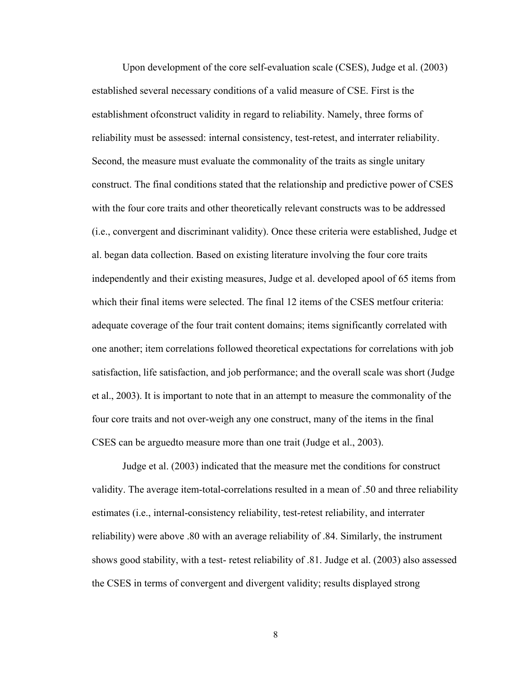Upon development of the core self-evaluation scale (CSES), Judge et al. (2003) established several necessary conditions of a valid measure of CSE. First is the establishment ofconstruct validity in regard to reliability. Namely, three forms of reliability must be assessed: internal consistency, test-retest, and interrater reliability. Second, the measure must evaluate the commonality of the traits as single unitary construct. The final conditions stated that the relationship and predictive power of CSES with the four core traits and other theoretically relevant constructs was to be addressed (i.e., convergent and discriminant validity). Once these criteria were established, Judge et al. began data collection. Based on existing literature involving the four core traits independently and their existing measures, Judge et al. developed apool of 65 items from which their final items were selected. The final 12 items of the CSES metfour criteria: adequate coverage of the four trait content domains; items significantly correlated with one another; item correlations followed theoretical expectations for correlations with job satisfaction, life satisfaction, and job performance; and the overall scale was short (Judge et al., 2003). It is important to note that in an attempt to measure the commonality of the four core traits and not over-weigh any one construct, many of the items in the final CSES can be argued to measure more than one trait (Judge et al., 2003).

 Judge et al. (2003) indicated that the measure met the conditions for construct validity. The average item-total-correlations resulted in a mean of .50 and three reliability estimates (i.e., internal-consistency reliability, test-retest reliability, and interrater reliability) were above .80 with an average reliability of .84. Similarly, the instrument shows good stability, with a test- retest reliability of .81. Judge et al. (2003) also assessed the CSES in terms of convergent and divergent validity; results displayed strong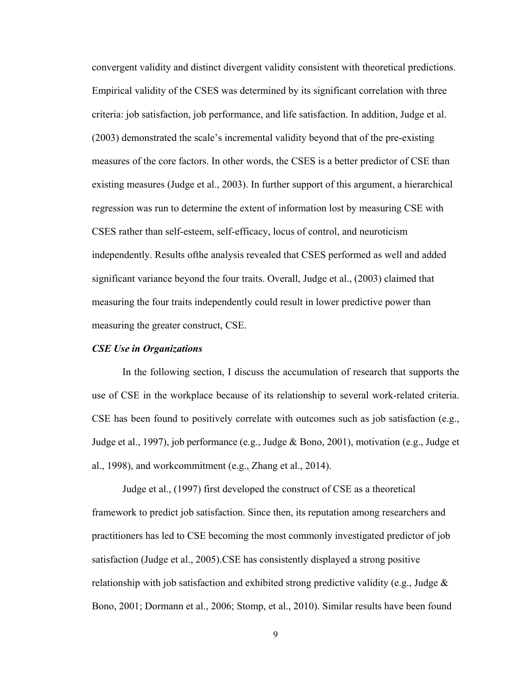convergent validity and distinct divergent validity consistent with theoretical predictions. Empirical validity of the CSES was determined by its significant correlation with three criteria: job satisfaction, job performance, and life satisfaction. In addition, Judge et al. (2003) demonstrated the scale's incremental validity beyond that of the pre-existing measures of the core factors. In other words, the CSES is a better predictor of CSE than existing measures (Judge et al., 2003). In further support of this argument, a hierarchical regression was run to determine the extent of information lost by measuring CSE with CSES rather than self-esteem, self-efficacy, locus of control, and neuroticism independently. Results of the analysis revealed that CSES performed as well and added significant variance beyond the four traits. Overall, Judge et al., (2003) claimed that measuring the four traits independently could result in lower predictive power than measuring the greater construct, CSE.

#### <span id="page-15-0"></span>*CSE Use in Organizations*

In the following section, I discuss the accumulation of research that supports the use of CSE in the workplace because of its relationship to several work-related criteria. CSE has been found to positively correlate with outcomes such as job satisfaction (e.g., Judge et al., 1997), job performance (e.g., Judge & Bono, 2001), motivation (e.g., Judge et al., 1998), and work commitment (e.g., Zhang et al., 2014).

 Judge et al., (1997) first developed the construct of CSE as a theoretical framework to predict job satisfaction. Since then, its reputation among researchers and practitioners has led to CSE becoming the most commonly investigated predictor of job satisfaction (Judge et al., 2005). CSE has consistently displayed a strong positive relationship with job satisfaction and exhibited strong predictive validity (e.g., Judge  $\&$ Bono, 2001; Dormann et al., 2006; Stomp, et al., 2010). Similar results have been found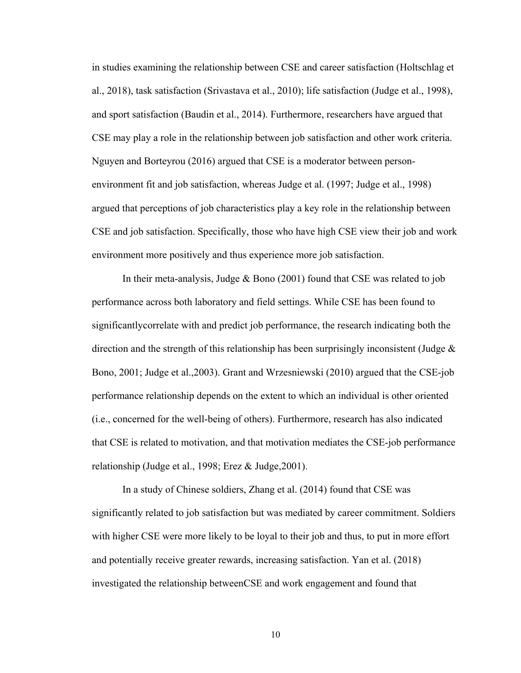in studies examining the relationship between CSE and career satisfaction (Holtschlag et al., 2018), task satisfaction (Srivastava et al., 2010); life satisfaction (Judge et al., 1998), and sport satisfaction (Baudin et al., 2014). Furthermore, researchers have argued that CSE may play a role in the relationship between job satisfaction and other work criteria. Nguyen and Borteyrou (2016) argued that CSE is a moderator between personenvironment fit and job satisfaction, whereas Judge et al. (1997; Judge et al., 1998) argued that perceptions of job characteristics play a key role in the relationship between CSE and job satisfaction. Specifically, those who have high CSE view their job and work environment more positively and thus experience more job satisfaction.

In their meta-analysis, Judge & Bono (2001) found that CSE was related to job performance across both laboratory and field settings. While CSE has been found to significantlycorrelate with and predict job performance, the research indicating both the direction and the strength of this relationship has been surprisingly inconsistent (Judge  $\&$ Bono, 2001; Judge et al., 2003). Grant and Wrzesniewski (2010) argued that the CSE-job performance relationship depends on the extent to which an individual is other oriented (i.e., concerned for the well-being of others). Furthermore, research has also indicated that CSE is related to motivation, and that motivation mediates the CSE-job performance relationship (Judge et al., 1998; Erez & Judge, 2001).

 In a study of Chinese soldiers, Zhang et al. (2014) found that CSE was significantly related to job satisfaction but was mediated by career commitment. Soldiers with higher CSE were more likely to be loyal to their job and thus, to put in more effort and potentially receive greater rewards, increasing satisfaction. Yan et al. (2018) investigated the relationship between CSE and work engagement and found that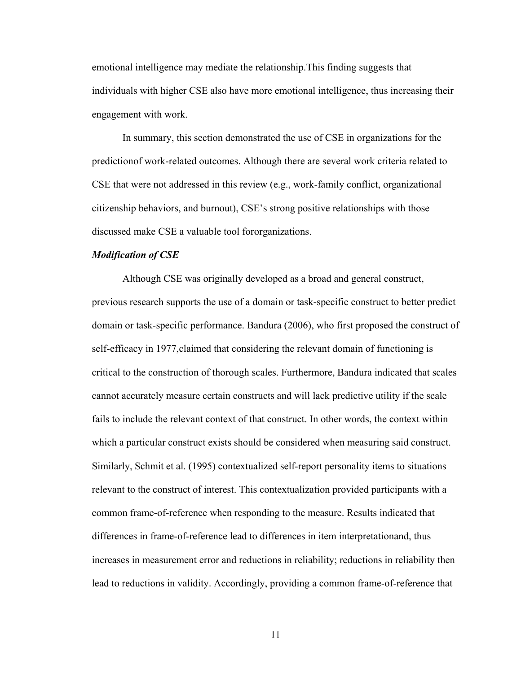emotional intelligence may mediate the relationship. This finding suggests that individuals with higher CSE also have more emotional intelligence, thus increasing their engagement with work.

 In summary, this section demonstrated the use of CSE in organizations for the prediction of work-related outcomes. Although there are several work criteria related to CSE that were not addressed in this review (e.g., work-family conflict, organizational citizenship behaviors, and burnout), CSE's strong positive relationships with those discussed make CSE a valuable tool for organizations.

#### *Modification of CSE*

 Although CSE was originally developed as a broad and general construct, previous research supports the use of a domain or task-specific construct to better predict domain or task- specific performance. Bandura (2006), who first proposed the construct of self-efficacy in 1977, claimed that considering the relevant domain of functioning is critical to the construction of thorough scales. Furthermore, Bandura indicated that scales cannot accurately measure certain constructs and will lack predictive utility if the scale fails to include the relevant context of that construct. In other words, the context within which a particular construct exists should be considered when measuring said construct. Similarly, Schmit et al. (1995) contextualized self-report personality items to situations relevant to the construct of interest. This contextualization provided participants with a common frame-of-reference when responding to the measure. Results indicated that differences in frame-of-reference lead to differences in item interpretation and, thus increases in measurement error and reductions in reliability; reductions in reliability then lead to reductions in validity. Accordingly, providing a common frame-of-reference that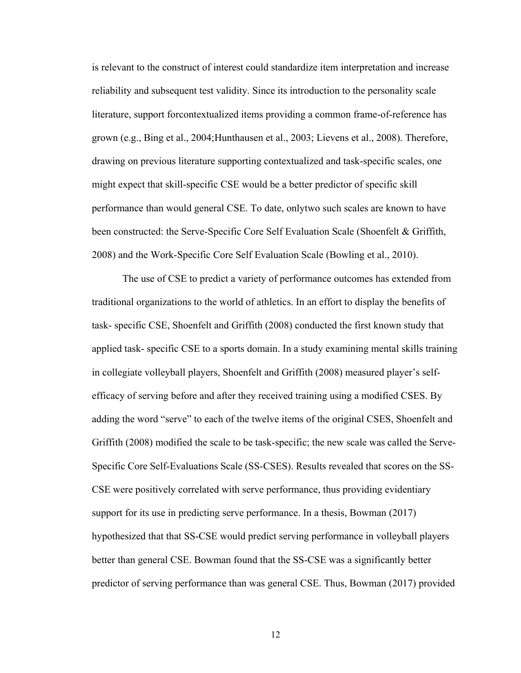is relevant to the construct of interest could standardize item interpretation and increase reliability and subsequent test validity. Since its introduction to the personality scale literature, support for contextualized items providing a common frame-of-reference has grown (e.g., Bing et al., 2004; Hunthausen et al., 2003; Lievens et al., 2008). Therefore, drawing on previous literature supporting contextualized and task-specific scales, one might expect that skill-specific CSE would be a better predictor of specific skill performance than would general CSE. To date, only two such scales are known to have been constructed: the Serve-Specific Core Self Evaluation Scale (Shoenfelt & Griffith, 2008) and the Work-Specific Core Self Evaluation Scale (Bowling et al., 2010).

The use of CSE to predict a variety of performance outcomes has extended from traditional organizations to the world of athletics. In an effort to display the benefits of task- specific CSE, Shoenfelt and Griffith (2008) conducted the first known study that applied task- specific CSE to a sports domain. In a study examining mental skills training in collegiate volleyball players, Shoenfelt and Griffith (2008) measured player's selfefficacy of serving before and after they received training using a modified CSES. By adding the word "serve" to each of the twelve items of the original CSES, Shoenfelt and Griffith (2008) modified the scale to be task-specific; the new scale was called the Serve-Specific Core Self-Evaluations Scale (SS-CSES). Results revealed that scores on the SS-CSE were positively correlated with serve performance, thus providing evidentiary support for its use in predicting serve performance. In a thesis, Bowman (2017) hypothesized that that SS-CSE would predict serving performance in volleyball players better than general CSE. Bowman found that the SS-CSE was a significantly better predictor of serving performance than was general CSE. Thus, Bowman (2017) provided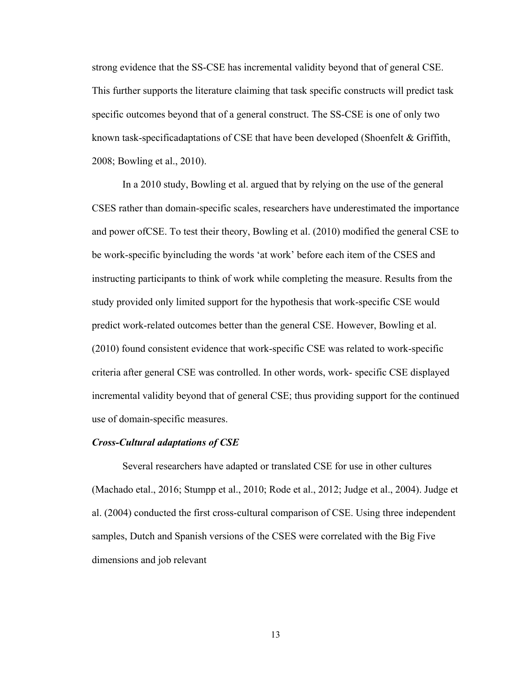strong evidence that the SS-CSE has incremental validity beyond that of general CSE. This further supports the literature claiming that task specific constructs will predict task specific outcomes beyond that of a general construct. The SS-CSE is one of only two known task-specificadaptations of CSE that have been developed (Shoenfelt  $\&$  Griffith, 2008; Bowling et al., 2010).

In a 2010 study, Bowling et al. argued that by relying on the use of the general CSES rather than domain-specific scales, researchers have underestimated the importance and power of CSE. To test their theory, Bowling et al. (2010) modified the general CSE to be work-specific by including the words 'at work' before each item of the CSES and instructing participants to think of work while completing the measure. Results from the study provided only limited support for the hypothesis that work-specific CSE would predict work-related outcomes better than the general CSE. However, Bowling et al. (2010) found consistent evidence that work-specific CSE was related to work-specific criteria after general CSE was controlled. In other words, work- specific CSE displayed incremental validity beyond that of general CSE; thus providing support for the continued use of domain-specific measures.

#### <span id="page-19-0"></span>*Cross-Cultural adaptations of CSE*

Several researchers have adapted or translated CSE for use in other cultures (Machado etal., 2016; Stumpp et al., 2010; Rode et al., 2012; Judge et al., 2004). Judge et al. (2004) conducted the first cross-cultural comparison of CSE. Using three independent samples, Dutch and Spanish versions of the CSES were correlated with the Big Five dimensions and job relevant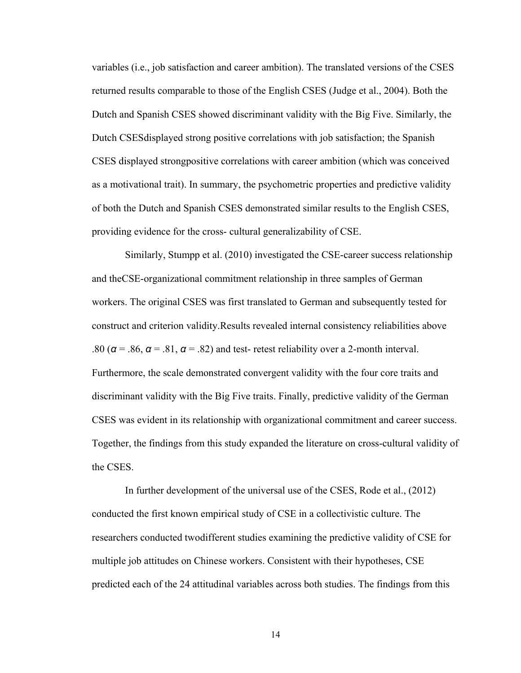variables (i.e., job satisfaction and career ambition). The translated versions of the CSES returned results comparable to those of the English CSES (Judge et al., 2004). Both the Dutch and Spanish CSES showed discriminant validity with the Big Five. Similarly, the Dutch CSES displayed strong positive correlations with job satisfaction; the Spanish CSES displayed strong positive correlations with career ambition (which was conceived as a motivational trait). In summary, the psychometric properties and predictive validity of both the Dutch and Spanish CSES demonstrated similar results to the English CSES, providing evidence for the cross- cultural generalizability of CSE.

Similarly, Stumpp et al. (2010) investigated the CSE-career success relationship and the CSE-organizational commitment relationship in three samples of German workers. The original CSES was first translated to German and subsequently tested for construct and criterion validity.Results revealed internal consistency reliabilities above .80 ( $\alpha$  = .86,  $\alpha$  = .81,  $\alpha$  = .82) and test- retest reliability over a 2-month interval. Furthermore, the scale demonstrated convergent validity with the four core traits and discriminant validity with the Big Five traits. Finally, predictive validity of the German CSES was evident in its relationship with organizational commitment and career success. Together, the findings from this study expanded the literature on cross-cultural validity of the CSES.

In further development of the universal use of the CSES, Rode et al., (2012) conducted the first known empirical study of CSE in a collectivistic culture. The researchers conducted twodifferent studies examining the predictive validity of CSE for multiple job attitudes on Chinese workers. Consistent with their hypotheses, CSE predicted each of the 24 attitudinal variables across both studies. The findings from this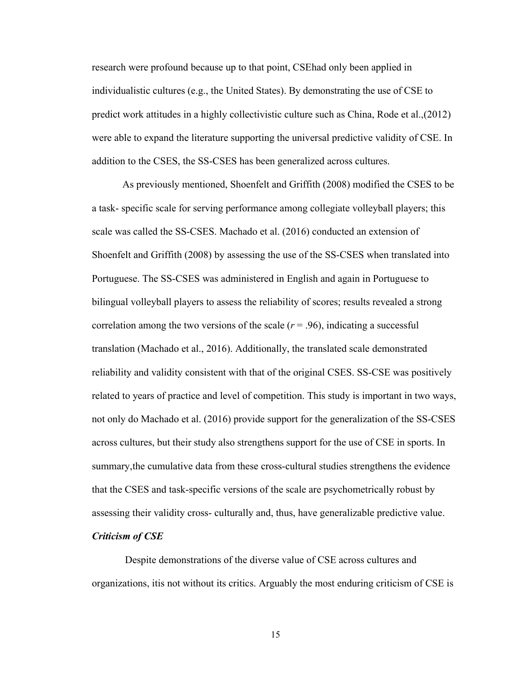research were profound because up to that point, CSE had only been applied in individualistic cultures (e.g., the United States). By demonstrating the use of CSE to predict work attitudes in a highly collectivistic culture such as China, Rode et al., (2012) were able to expand the literature supporting the universal predictive validity of CSE. In addition to the CSES, the SS-CSES has been generalized across cultures.

As previously mentioned, Shoenfelt and Griffith (2008) modified the CSES to be a task- specific scale for serving performance among collegiate volleyball players; this scale was called the SS-CSES. Machado et al. (2016) conducted an extension of Shoenfelt and Griffith (2008) by assessing the use of the SS-CSES when translated into Portuguese. The SS-CSES was administered in English and again in Portuguese to bilingual volleyball players to assess the reliability of scores; results revealed a strong correlation among the two versions of the scale  $(r = .96)$ , indicating a successful translation (Machado et al., 2016). Additionally, the translated scale demonstrated reliability and validity consistent with that of the original CSES. SS-CSE was positively related to years of practice and level of competition. This study is important in two ways, not only do Machado et al. (2016) provide support for the generalization of the SS-CSES across cultures, but their study also strengthens support for the use of CSE in sports. In summary,the cumulative data from these cross-cultural studies strengthens the evidence that the CSES and task-specific versions of the scale are psychometrically robust by assessing their validity cross- culturally and, thus, have generalizable predictive value.

#### <span id="page-21-0"></span>*Criticism of CSE*

Despite demonstrations of the diverse value of CSE across cultures and organizations, it is not without its critics. Arguably the most enduring criticism of CSE is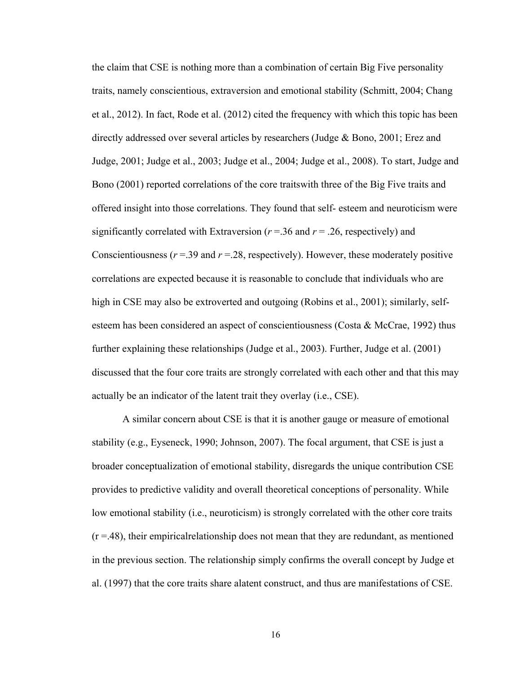the claim that CSE is nothing more than a combination of certain Big Five personality traits, namely conscientious, extraversion and emotional stability (Schmitt, 2004; Chang et al., 2012). In fact, Rode et al. (2012) cited the frequency with which this topic has been directly addressed over several articles by researchers (Judge & Bono, 2001; Erez and Judge, 2001; Judge et al., 2003; Judge et al., 2004; Judge et al., 2008). To start, Judge and Bono (2001) reported correlations of the core traits with three of the Big Five traits and offered insight into those correlations. They found that self- esteem and neuroticism were significantly correlated with Extraversion ( $r = 0.36$  and  $r = 0.26$ , respectively) and Conscientiousness  $(r = .39$  and  $r = .28$ , respectively). However, these moderately positive correlations are expected because it is reasonable to conclude that individuals who are high in CSE may also be extroverted and outgoing (Robins et al., 2001); similarly, selfesteem has been considered an aspect of conscientiousness (Costa & McCrae, 1992) thus further explaining these relationships (Judge et al., 2003). Further, Judge et al. (2001) discussed that the four core traits are strongly correlated with each other and that this may actually be an indicator of the latent trait they overlay (i.e., CSE).

A similar concern about CSE is that it is another gauge or measure of emotional stability (e.g., Eyseneck, 1990; Johnson, 2007). The focal argument, that CSE is just a broader conceptualization of emotional stability, disregards the unique contribution CSE provides to predictive validity and overall theoretical conceptions of personality. While low emotional stability (i.e., neuroticism) is strongly correlated with the other core traits  $(r = .48)$ , their empirical relationship does not mean that they are redundant, as mentioned in the previous section. The relationship simply confirms the overall concept by Judge et al. (1997) that the core traits share alatent construct, and thus are manifestations of CSE.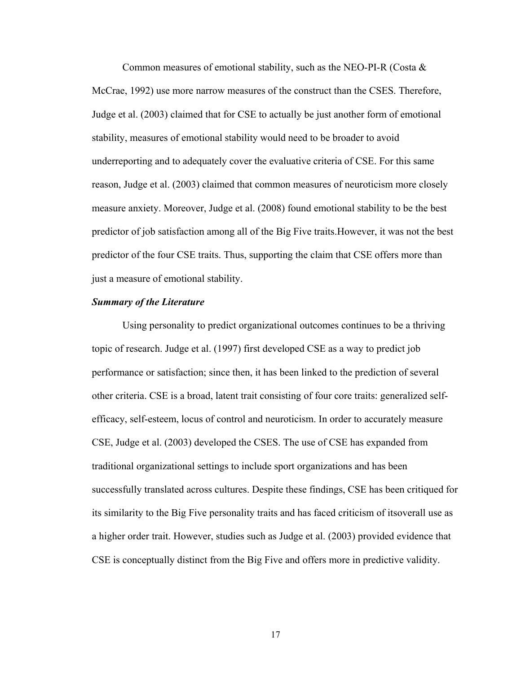Common measures of emotional stability, such as the NEO-PI-R (Costa  $\&$ McCrae, 1992) use more narrow measures of the construct than the CSES. Therefore, Judge et al. (2003) claimed that for CSE to actually be just another form of emotional stability, measures of emotional stability would need to be broader to avoid underreporting and to adequately cover the evaluative criteria of CSE. For this same reason, Judge et al. (2003) claimed that common measures of neuroticism more closely measure anxiety. Moreover, Judge et al. (2008) found emotional stability to be the best predictor of job satisfaction among all of the Big Five traits. However, it was not the best predictor of the four CSE traits. Thus, supporting the claim that CSE offers more than just a measure of emotional stability.

#### <span id="page-23-0"></span>*Summary of the Literature*

Using personality to predict organizational outcomes continues to be a thriving topic of research. Judge et al. (1997) first developed CSE as a way to predict job performance or satisfaction; since then, it has been linked to the prediction of several other criteria. CSE is a broad, latent trait consisting of four core traits: generalized selfefficacy, self-esteem, locus of control and neuroticism. In order to accurately measure CSE, Judge et al. (2003) developed the CSES. The use of CSE has expanded from traditional organizational settings to include sport organizations and has been successfully translated across cultures. Despite these findings, CSE has been critiqued for its similarity to the Big Five personality traits and has faced criticism of its overall use as a higher order trait. However, studies such as Judge et al. (2003) provided evidence that CSE is conceptually distinct from the Big Five and offers more in predictive validity.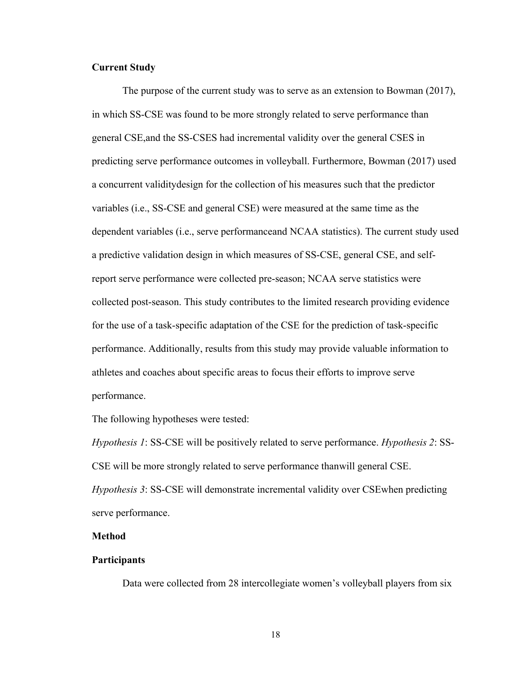### <span id="page-24-0"></span>**Current Study**

The purpose of the current study was to serve as an extension to Bowman (2017), in which SS-CSE was found to be more strongly related to serve performance than general CSE, and the SS-CSES had incremental validity over the general CSES in predicting serve performance outcomes in volleyball. Furthermore, Bowman (2017) used a concurrent validity design for the collection of his measures such that the predictor variables (i.e., SS-CSE and general CSE) were measured at the same time as the dependent variables (i.e., serve performance and NCAA statistics). The current study used a predictive validation design in which measures of SS-CSE, general CSE, and selfreport serve performance were collected pre-season; NCAA serve statistics were collected post-season. This study contributes to the limited research providing evidence for the use of a task-specific adaptation of the CSE for the prediction of task- specific performance. Additionally, results from this study may provide valuable information to athletes and coaches about specific areas to focus their efforts to improve serve performance.

The following hypotheses were tested:

*Hypothesis 1*: SS-CSE will be positively related to serve performance. *Hypothesis 2*: SS-CSE will be more strongly related to serve performance than will general CSE. *Hypothesis 3*: SS-CSE will demonstrate incremental validity over CSEwhen predicting serve performance.

#### <span id="page-24-1"></span>**Method**

#### <span id="page-24-2"></span>**Participants**

Data were collected from 28 intercollegiate women's volleyball players from six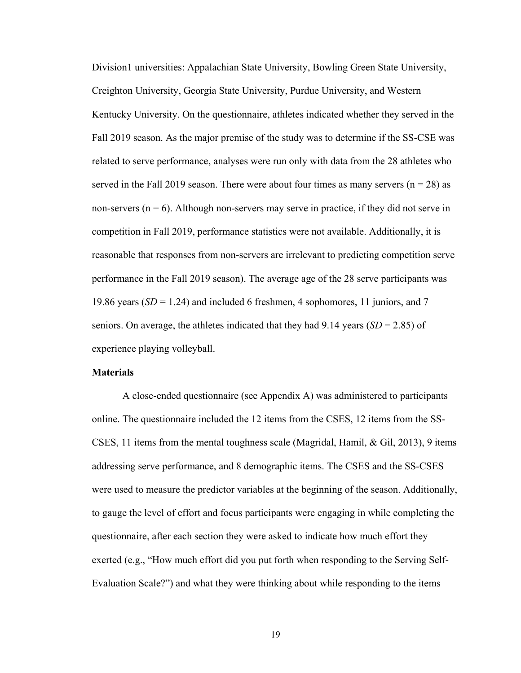Division 1 universities: Appalachian State University, Bowling Green State University, Creighton University, Georgia State University, Purdue University, and Western Kentucky University. On the questionnaire, athletes indicated whether they served in the Fall 2019 season. As the major premise of the study was to determine if the SS-CSE was related to serve performance, analyses were run only with data from the 28 athletes who served in the Fall 2019 season. There were about four times as many servers ( $n = 28$ ) as non-servers ( $n = 6$ ). Although non-servers may serve in practice, if they did not serve in competition in Fall 2019, performance statistics were not available. Additionally, it is reasonable that responses from non-servers are irrelevant to predicting competition serve performance in the Fall 2019 season). The average age of the 28 serve participants was 19.86 years (*SD* = 1.24) and included 6 freshmen, 4 sophomores, 11 juniors, and 7 seniors. On average, the athletes indicated that they had  $9.14$  years (*SD* = 2.85) of experience playing volleyball.

#### <span id="page-25-0"></span>**Materials**

A close-ended questionnaire (see Appendix A) was administered to participants online. The questionnaire included the 12 items from the CSES, 12 items from the SS-CSES, 11 items from the mental toughness scale (Magridal, Hamil, & Gil, 2013), 9 items addressing serve performance, and 8 demographic items. The CSES and the SS-CSES were used to measure the predictor variables at the beginning of the season. Additionally, to gauge the level of effort and focus participants were engaging in while completing the questionnaire, after each section they were asked to indicate how much effort they exerted (e.g., "How much effort did you put forth when responding to the Serving Self-Evaluation Scale?") and what they were thinking about while responding to the items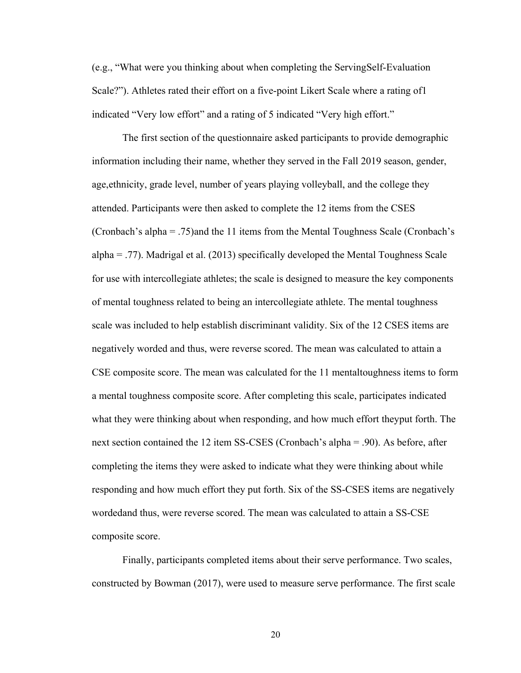(e.g., "What were you thinking about when completing the Serving Self-Evaluation Scale?"). Athletes rated their effort on a five-point Likert Scale where a rating of 1 indicated "Very low effort" and a rating of 5 indicated "Very high effort."

The first section of the questionnaire asked participants to provide demographic information including their name, whether they served in the Fall 2019 season, gender, age, ethnicity, grade level, number of years playing volleyball, and the college they attended. Participants were then asked to complete the 12 items from the CSES (Cronbach's alpha = .75) and the 11 items from the Mental Toughness Scale (Cronbach's alpha = .77). Madrigal et al. (2013) specifically developed the Mental Toughness Scale for use with intercollegiate athletes; the scale is designed to measure the key components of mental toughness related to being an intercollegiate athlete. The mental toughness scale was included to help establish discriminant validity. Six of the 12 CSES items are negatively worded and thus, were reverse scored. The mean was calculated to attain a CSE composite score. The mean was calculated for the 11 mental toughness items to form a mental toughness composite score. After completing this scale, participates indicated what they were thinking about when responding, and how much effort they put forth. The next section contained the 12 item SS-CSES (Cronbach's alpha = .90). As before, after completing the items they were asked to indicate what they were thinking about while responding and how much effort they put forth. Six of the SS-CSES items are negatively worded and thus, were reverse scored. The mean was calculated to attain a SS-CSE composite score.

Finally, participants completed items about their serve performance. Two scales, constructed by Bowman (2017), were used to measure serve performance. The first scale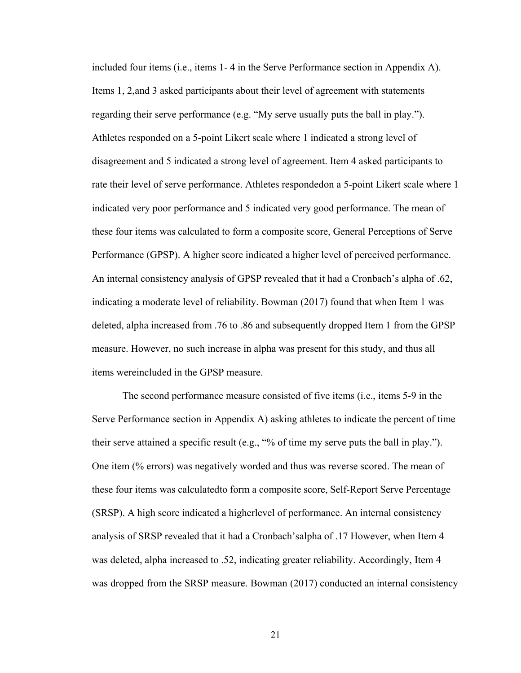included four items (i.e., items 1- 4 in the Serve Performance section in Appendix A). Items 1, 2, and 3 asked participants about their level of agreement with statements regarding their serve performance (e.g. "My serve usually puts the ball in play."). Athletes responded on a 5-point Likert scale where 1 indicated a strong level of disagreement and 5 indicated a strong level of agreement. Item 4 asked participants to rate their level of serve performance. Athletes responded on a 5-point Likert scale where 1 indicated very poor performance and 5 indicated very good performance. The mean of these four items was calculated to form a composite score, General Perceptions of Serve Performance (GPSP). A higher score indicated a higher level of perceived performance. An internal consistency analysis of GPSP revealed that it had a Cronbach's alpha of .62, indicating a moderate level of reliability. Bowman (2017) found that when Item 1 was deleted, alpha increased from .76 to .86 and subsequently dropped Item 1 from the GPSP measure. However, no such increase in alpha was present for this study, and thus all items were included in the GPSP measure.

The second performance measure consisted of five items (i.e., items 5-9 in the Serve Performance section in Appendix A) asking athletes to indicate the percent of time their serve attained a specific result (e.g., "% of time my serve puts the ball in play."). One item (% errors) was negatively worded and thus was reverse scored. The mean of these four items was calculatedto form a composite score, Self-Report Serve Percentage (SRSP). A high score indicated a higher level of performance. An internal consistency analysis of SRSP revealed that it had a Cronbach's alpha of .17 However, when Item 4 was deleted, alpha increased to .52, indicating greater reliability. Accordingly, Item 4 was dropped from the SRSP measure. Bowman (2017) conducted an internal consistency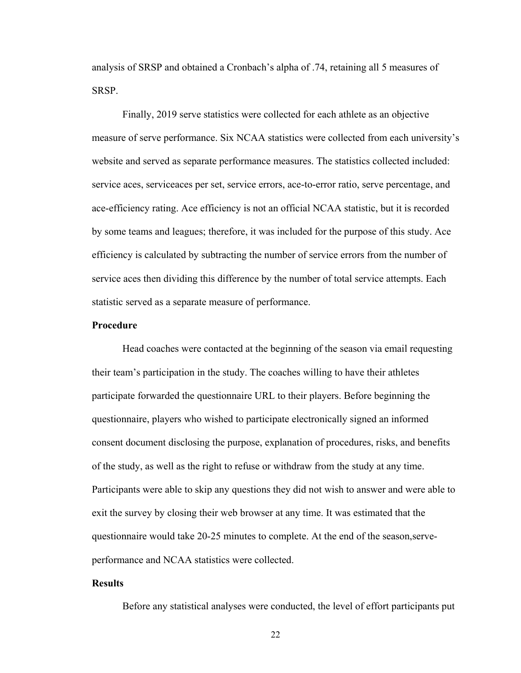analysis of SRSP and obtained a Cronbach's alpha of .74, retaining all 5 measures of SRSP.

Finally, 2019 serve statistics were collected for each athlete as an objective measure of serve performance. Six NCAA statistics were collected from each university's website and served as separate performance measures. The statistics collected included: service aces, serviceaces per set, service errors, ace-to-error ratio, serve percentage, and ace-efficiency rating. Ace efficiency is not an official NCAA statistic, but it is recorded by some teams and leagues; therefore, it was included for the purpose of this study. Ace efficiency is calculated by subtracting the number of service errors from the number of service aces then dividing this difference by the number of total service attempts. Each statistic served as a separate measure of performance.

#### **Procedure**

Head coaches were contacted at the beginning of the season via email requesting their team's participation in the study. The coaches willing to have their athletes participate forwarded the questionnaire URL to their players. Before beginning the questionnaire, players who wished to participate electronically signed an informed consent document disclosing the purpose, explanation of procedures, risks, and benefits of the study, as well as the right to refuse or withdraw from the study at any time. Participants were able to skip any questions they did not wish to answer and were able to exit the survey by closing their web browser at any time. It was estimated that the questionnaire would take 20-25 minutes to complete. At the end of the season, serveperformance and NCAA statistics were collected.

#### <span id="page-28-0"></span>**Results**

Before any statistical analyses were conducted, the level of effort participants put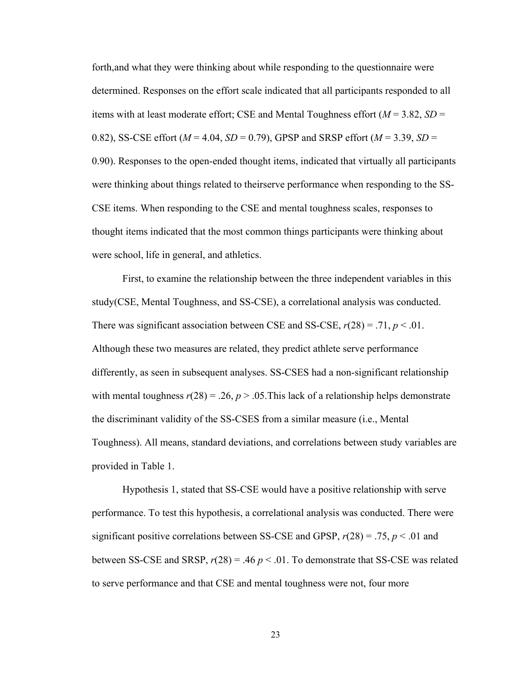forth, and what they were thinking about while responding to the questionnaire were determined. Responses on the effort scale indicated that all participants responded to all items with at least moderate effort; CSE and Mental Toughness effort (*M* = 3.82, *SD* = 0.82), SS-CSE effort ( $M = 4.04$ ,  $SD = 0.79$ ), GPSP and SRSP effort ( $M = 3.39$ ,  $SD =$ 0.90). Responses to the open-ended thought items, indicated that virtually all participants were thinking about things related to their serve performance when responding to the SS-CSE items. When responding to the CSE and mental toughness scales, responses to thought items indicated that the most common things participants were thinking about were school, life in general, and athletics.

First, to examine the relationship between the three independent variables in this study (CSE, Mental Toughness, and SS-CSE), a correlational analysis was conducted. There was significant association between CSE and SS-CSE,  $r(28) = .71$ ,  $p < .01$ . Although these two measures are related, they predict athlete serve performance differently, as seen in subsequent analyses. SS-CSES had a non-significant relationship with mental toughness  $r(28) = .26$ ,  $p > .05$ . This lack of a relationship helps demonstrate the discriminant validity of the SS-CSES from a similar measure (i.e., Mental Toughness). All means, standard deviations, and correlations between study variables are provided in Table 1.

Hypothesis 1, stated that SS-CSE would have a positive relationship with serve performance. To test this hypothesis, a correlational analysis was conducted. There were significant positive correlations between SS-CSE and GPSP,  $r(28) = .75$ ,  $p < .01$  and between SS-CSE and SRSP,  $r(28) = .46 \, p < .01$ . To demonstrate that SS-CSE was related to serve performance and that CSE and mental toughness were not, four more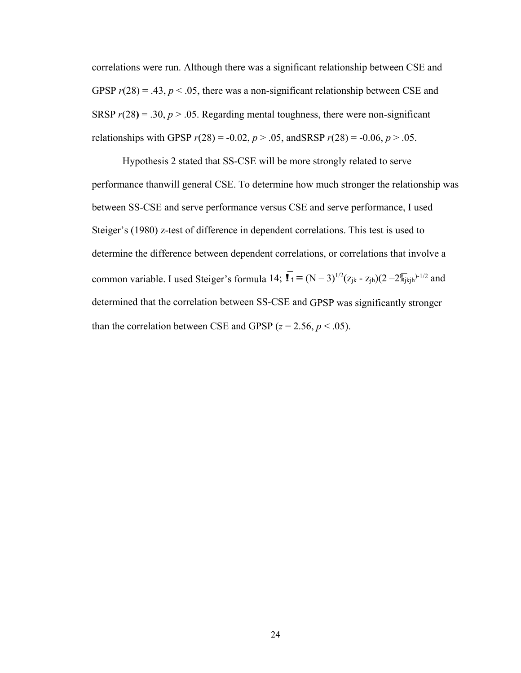correlations were run. Although there was a significant relationship between CSE and GPSP  $r(28) = .43$ ,  $p < .05$ , there was a non-significant relationship between CSE and SRSP  $r(28) = .30$ ,  $p > .05$ . Regarding mental toughness, there were non-significant relationships with GPSP  $r(28) = -0.02$ ,  $p > .05$ , and SRSP  $r(28) = -0.06$ ,  $p > .05$ .

Hypothesis 2 stated that SS-CSE will be more strongly related to serve performance thanwill general CSE. To determine how much stronger the relationship was between SS-CSE and serve performance versus CSE and serve performance, I used Steiger's (1980) z-test of difference in dependent correlations. This test is used to determine the difference between dependent correlations, or correlations that involve a common variable. I used Steiger's formula 14;  $\overline{I}_1 = (N-3)^{1/2}(z_{ik} - z_{ih})(2 - 2\sqrt{k}j_{ik}+1/2})$  and determined that the correlation between SS-CSE and GPSP was significantly stronger than the correlation between CSE and GPSP  $(z = 2.56, p < .05)$ .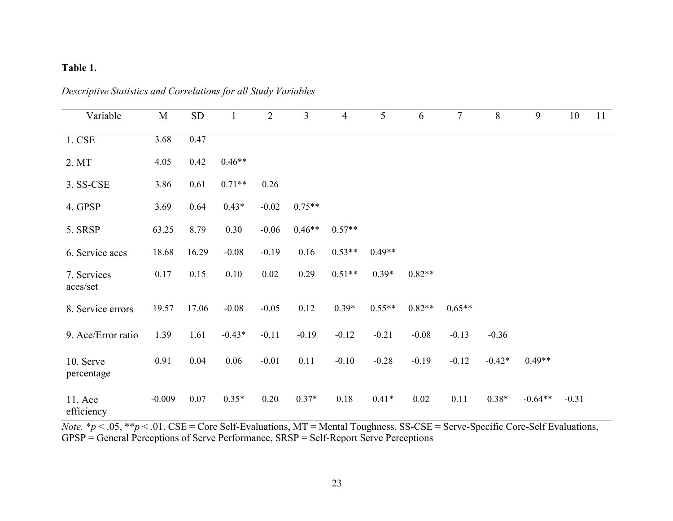# **Table 1.**

| Variable                | M        | <b>SD</b> |          | $\overline{2}$ | 3        | $\overline{4}$ | 5        | 6        | $\tau$   | 8        | 9         | 10      | 11 |
|-------------------------|----------|-----------|----------|----------------|----------|----------------|----------|----------|----------|----------|-----------|---------|----|
| 1. CSE                  | 3.68     | 0.47      |          |                |          |                |          |          |          |          |           |         |    |
| 2. MT                   | 4.05     | 0.42      | $0.46**$ |                |          |                |          |          |          |          |           |         |    |
| 3. SS-CSE               | 3.86     | 0.61      | $0.71**$ | 0.26           |          |                |          |          |          |          |           |         |    |
| 4. GPSP                 | 3.69     | 0.64      | $0.43*$  | $-0.02$        | $0.75**$ |                |          |          |          |          |           |         |    |
| 5. SRSP                 | 63.25    | 8.79      | 0.30     | $-0.06$        | $0.46**$ | $0.57**$       |          |          |          |          |           |         |    |
| 6. Service aces         | 18.68    | 16.29     | $-0.08$  | $-0.19$        | 0.16     | $0.53**$       | $0.49**$ |          |          |          |           |         |    |
| 7. Services<br>aces/set | 0.17     | 0.15      | 0.10     | 0.02           | 0.29     | $0.51**$       | $0.39*$  | $0.82**$ |          |          |           |         |    |
| 8. Service errors       | 19.57    | 17.06     | $-0.08$  | $-0.05$        | 0.12     | $0.39*$        | $0.55**$ | $0.82**$ | $0.65**$ |          |           |         |    |
| 9. Ace/Error ratio      | 1.39     | 1.61      | $-0.43*$ | $-0.11$        | $-0.19$  | $-0.12$        | $-0.21$  | $-0.08$  | $-0.13$  | $-0.36$  |           |         |    |
| 10. Serve<br>percentage | 0.91     | 0.04      | 0.06     | $-0.01$        | 0.11     | $-0.10$        | $-0.28$  | $-0.19$  | $-0.12$  | $-0.42*$ | $0.49**$  |         |    |
| 11. Ace<br>efficiency   | $-0.009$ | 0.07      | $0.35*$  | 0.20           | $0.37*$  | 0.18           | $0.41*$  | 0.02     | 0.11     | $0.38*$  | $-0.64**$ | $-0.31$ |    |

*Descriptive Statistics and Correlations for all Study Variables* 

*Note.* \* $p < .05$ , \*\* $p < .01$ . CSE = Core Self-Evaluations, MT = Mental Toughness, SS-CSE = Serve-Specific Core-Self Evaluations, GPSP = General Perceptions of Serve Performance, SRSP = Self-Report Serve Perceptions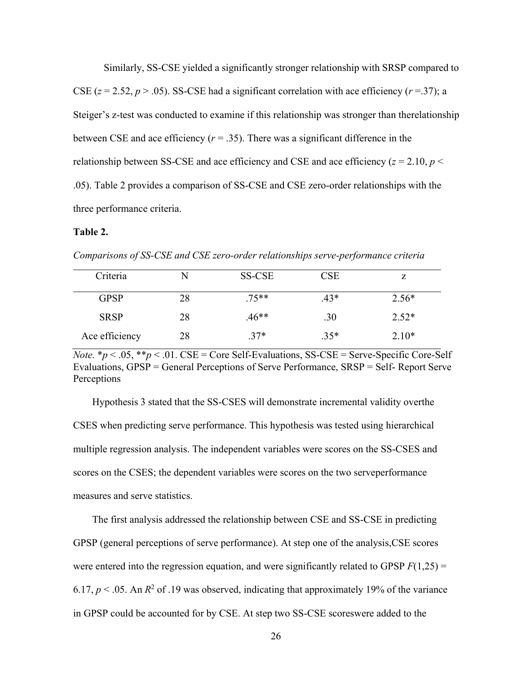Similarly, SS-CSE yielded a significantly stronger relationship with SRSP compared to CSE ( $z = 2.52$ ,  $p > .05$ ). SS-CSE had a significant correlation with ace efficiency ( $r = .37$ ); a Steiger's z-test was conducted to examine if this relationship was stronger than the relationship between CSE and ace efficiency  $(r = .35)$ . There was a significant difference in the relationship between SS-CSE and ace efficiency and CSE and ace efficiency  $(z = 2.10, p <$ .05). Table 2 provides a comparison of SS-CSE and CSE zero-order relationships with the three performance criteria.

#### **Table 2.**

*Comparisons of SS-CSE and CSE zero-order relationships serve-performance criteria*

| Criteria       | N  | SS-CSE  | $\overline{\text{CSE}}$ |         |
|----------------|----|---------|-------------------------|---------|
| <b>GPSP</b>    | 28 | $.75**$ | $.43*$                  | $2.56*$ |
| <b>SRSP</b>    | 28 | $.46**$ | .30                     | $2.52*$ |
| Ace efficiency | 28 | $.37*$  | $.35*$                  | $2.10*$ |

*Note.*  $* p < .05$ ,  $* p < .01$ . CSE = Core Self-Evaluations, SS-CSE = Serve-Specific Core-Self Evaluations, GPSP = General Perceptions of Serve Performance, SRSP = Self- Report Serve Perceptions

Hypothesis 3 stated that the SS-CSES will demonstrate incremental validity over the CSES when predicting serve performance. This hypothesis was tested using hierarchical multiple regression analysis. The independent variables were scores on the SS-CSES and scores on the CSES; the dependent variables were scores on the two serve performance measures and serve statistics.

The first analysis addressed the relationship between CSE and SS-CSE in predicting GPSP (general perceptions of serve performance). At step one of the analysis,CSE scores were entered into the regression equation, and were significantly related to GPSP  $F(1,25) =$ 6.17,  $p < 0.05$ . An  $R^2$  of .19 was observed, indicating that approximately 19% of the variance in GPSP could be accounted for by CSE. At step two SS-CSE scores were added to the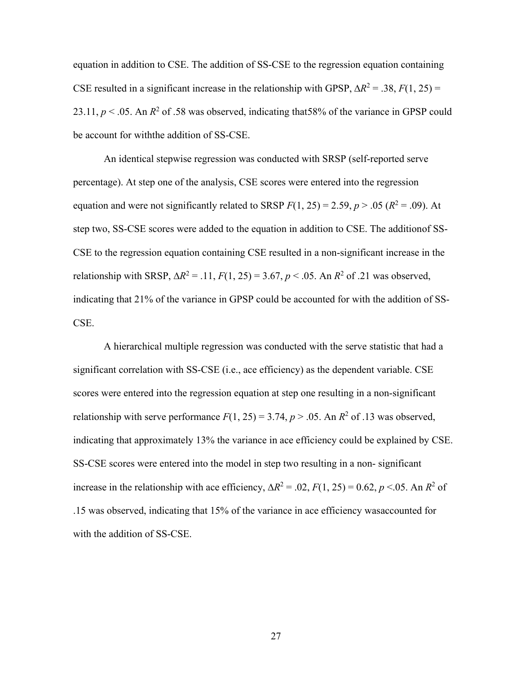equation in addition to CSE. The addition of SS-CSE to the regression equation containing CSE resulted in a significant increase in the relationship with GPSP,  $\Delta R^2 = .38$ ,  $F(1, 25) =$ 23.11,  $p < 0.05$ . An  $R^2$  of .58 was observed, indicating that 58% of the variance in GPSP could be account for withthe addition of SS-CSE.

An identical stepwise regression was conducted with SRSP (self-reported serve percentage). At step one of the analysis, CSE scores were entered into the regression equation and were not significantly related to SRSP  $F(1, 25) = 2.59$ ,  $p > .05$  ( $R^2 = .09$ ). At step two, SS-CSE scores were added to the equation in addition to CSE. The addition of SS-CSE to the regression equation containing CSE resulted in a non-significant increase in the relationship with SRSP,  $ΔR^2 = .11$ ,  $F(1, 25) = 3.67$ ,  $p < .05$ . An  $R^2$  of .21 was observed, indicating that 21% of the variance in GPSP could be accounted for with the addition of SS-CSE.

A hierarchical multiple regression was conducted with the serve statistic that had a significant correlation with SS-CSE (i.e., ace efficiency) as the dependent variable. CSE scores were entered into the regression equation at step one resulting in a non-significant relationship with serve performance  $F(1, 25) = 3.74$ ,  $p > .05$ . An  $R^2$  of .13 was observed, indicating that approximately 13% the variance in ace efficiency could be explained by CSE. SS-CSE scores were entered into the model in step two resulting in a non- significant increase in the relationship with ace efficiency,  $\Delta R^2 = .02$ ,  $F(1, 25) = 0.62$ ,  $p \le 0.05$ . An  $R^2$  of .15 was observed, indicating that 15% of the variance in ace efficiency was accounted for with the addition of SS-CSE.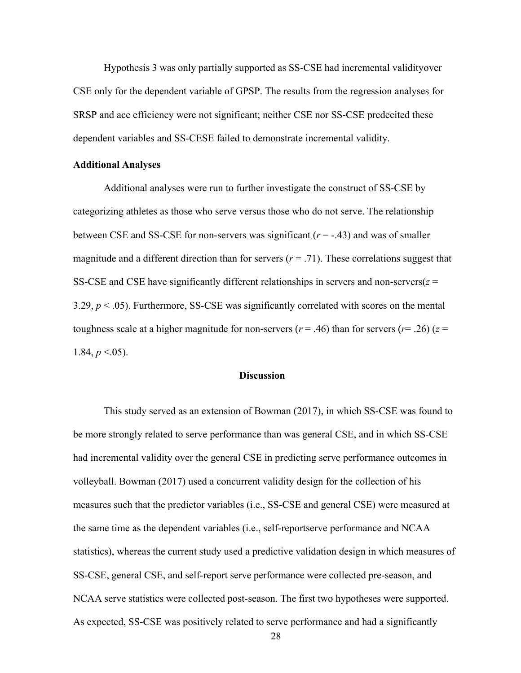Hypothesis 3 was only partially supported as SS-CSE had incremental validity over CSE only for the dependent variable of GPSP. The results from the regression analyses for SRSP and ace efficiency were not significant; neither CSE nor SS-CSE predecited these dependent variables and SS-CESE failed to demonstrate incremental validity.

#### **Additional Analyses**

 Additional analyses were run to further investigate the construct of SS-CSE by categorizing athletes as those who serve versus those who do not serve. The relationship between CSE and SS-CSE for non-servers was significant  $(r = -0.43)$  and was of smaller magnitude and a different direction than for servers  $(r = .71)$ . These correlations suggest that SS-CSE and CSE have significantly different relationships in servers and non-servers $(z =$ 3.29, *p* < .05). Furthermore, SS-CSE was significantly correlated with scores on the mental toughness scale at a higher magnitude for non-servers ( $r = .46$ ) than for servers ( $r = .26$ ) ( $z =$ 1.84,  $p < .05$ ).

### **Discussion**

 This study served as an extension of Bowman (2017), in which SS-CSE was found to be more strongly related to serve performance than was general CSE, and in which SS-CSE had incremental validity over the general CSE in predicting serve performance outcomes in volleyball. Bowman (2017) used a concurrent validity design for the collection of his measures such that the predictor variables (i.e., SS-CSE and general CSE) were measured at the same time as the dependent variables (i.e., self-reportserve performance and NCAA statistics), whereas the current study used a predictive validation design in which measures of SS-CSE, general CSE, and self-report serve performance were collected pre-season, and NCAA serve statistics were collected post- season. The first two hypotheses were supported. As expected, SS-CSE was positively related to serve performance and had a significantly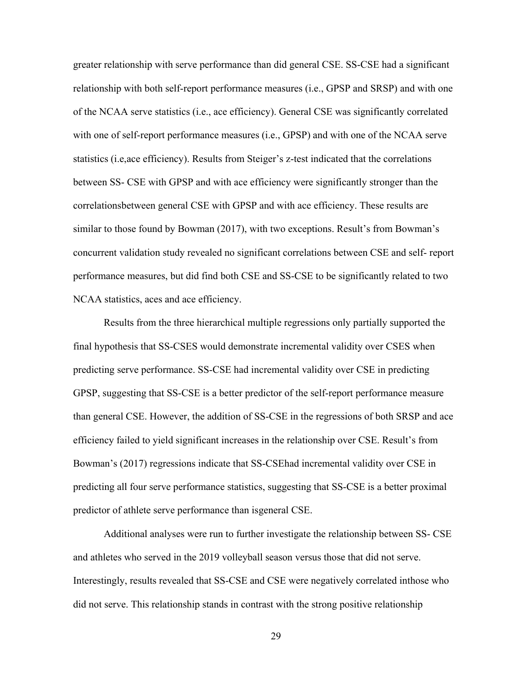greater relationship with serve performance than did general CSE. SS-CSE had a significant relationship with both self-report performance measures (i.e., GPSP and SRSP) and with one of the NCAA serve statistics (i.e., ace efficiency). General CSE was significantly correlated with one of self-report performance measures (i.e., GPSP) and with one of the NCAA serve statistics (i.e,ace efficiency). Results from Steiger's z-test indicated that the correlations between SS- CSE with GPSP and with ace efficiency were significantly stronger than the correlationsbetween general CSE with GPSP and with ace efficiency. These results are similar to those found by Bowman (2017), with two exceptions. Result's from Bowman's concurrent validation study revealed no significant correlations between CSE and self- report performance measures, but did find both CSE and SS-CSE to be significantly related to two NCAA statistics, aces and ace efficiency.

Results from the three hierarchical multiple regressions only partially supported the final hypothesis that SS-CSES would demonstrate incremental validity over CSES when predicting serve performance. SS-CSE had incremental validity over CSE in predicting GPSP, suggesting that SS-CSE is a better predictor of the self-report performance measure than general CSE. However, the addition of SS-CSE in the regressions of both SRSP and ace efficiency failed to yield significant increases in the relationship over CSE. Result's from Bowman's (2017) regressions indicate that SS-CSE had incremental validity over CSE in predicting all four serve performance statistics, suggesting that SS-CSE is a better proximal predictor of athlete serve performance than is general CSE.

 Additional analyses were run to further investigate the relationship between SS- CSE and athletes who served in the 2019 volleyball season versus those that did not serve. Interestingly, results revealed that SS-CSE and CSE were negatively correlated inthose who did not serve. This relationship stands in contrast with the strong positive relationship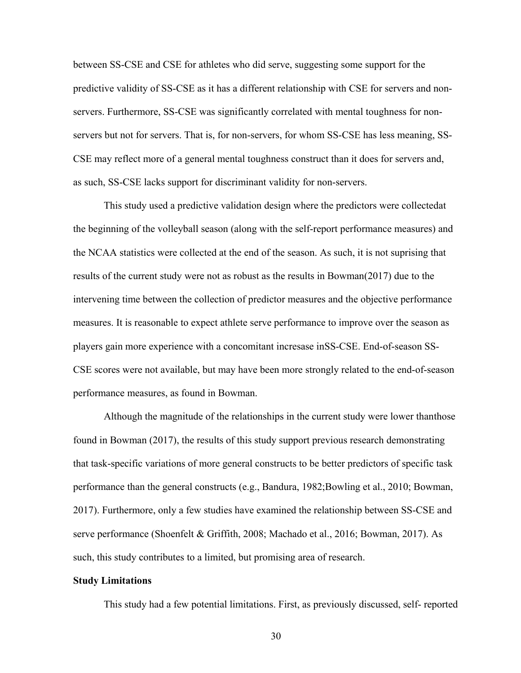between SS-CSE and CSE for athletes who did serve, suggesting some support for the predictive validity of SS-CSE as it has a different relationship with CSE for servers and nonservers. Furthermore, SS-CSE was significantly correlated with mental toughness for nonservers but not for servers. That is, for non-servers, for whom SS-CSE has less meaning, SS-CSE may reflect more of a general mental toughness construct than it does for servers and, as such, SS-CSE lacks support for discriminant validity for non-servers.

This study used a predictive validation design where the predictors were collectedat the beginning of the volleyball season (along with the self-report performance measures) and the NCAA statistics were collected at the end of the season. As such, it is not suprising that results of the current study were not as robust as the results in Bowman (2017) due to the intervening time between the collection of predictor measures and the objective performance measures. It is reasonable to expect athlete serve performance to improve over the season as players gain more experience with a concomitant incresase inSS-CSE. End-of-season SS-CSE scores were not available, but may have been more strongly related to the end-of-season performance measures, as found in Bowman.

Although the magnitude of the relationships in the current study were lower than those found in Bowman (2017), the results of this study support previous research demonstrating that task-specific variations of more general constructs to be better predictors of specific task performance than the general constructs (e.g., Bandura, 1982; Bowling et al., 2010; Bowman, 2017). Furthermore, only a few studies have examined the relationship between SS-CSE and serve performance (Shoenfelt & Griffith, 2008; Machado et al., 2016; Bowman, 2017). As such, this study contributes to a limited, but promising area of research.

#### **Study Limitations**

This study had a few potential limitations. First, as previously discussed, self- reported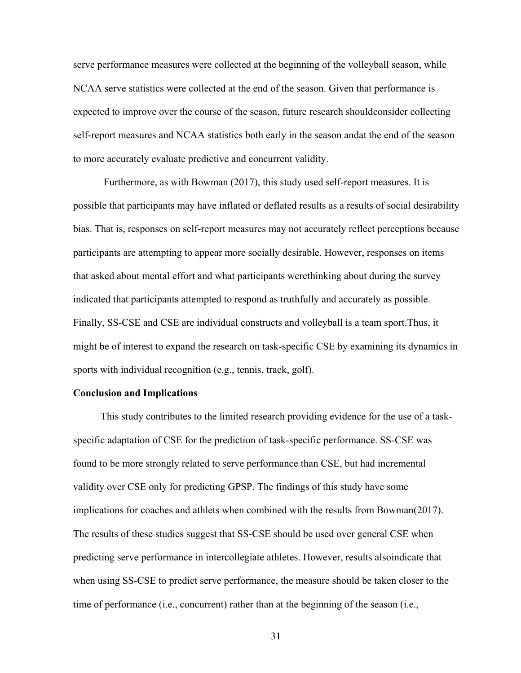serve performance measures were collected at the beginning of the volleyball season, while NCAA serve statistics were collected at the end of the season. Given that performance is expected to improve over the course of the season, future research should consider collecting self-report measures and NCAA statistics both early in the season andat the end of the season to more accurately evaluate predictive and concurrent validity.

Furthermore, as with Bowman (2017), this study used self-report measures. It is possible that participants may have inflated or deflated results as a results of social desirability bias. That is, responses on self-report measures may not accurately reflect perceptions because participants are attempting to appear more socially desirable. However, responses on items that asked about mental effort and what participants were thinking about during the survey indicated that participants attempted to respond as truthfully and accurately as possible. Finally, SS-CSE and CSE are individual constructs and volleyball is a team sport. Thus, it might be of interest to expand the research on task-specific CSE by examining its dynamics in sports with individual recognition (e.g., tennis, track, golf).

#### <span id="page-37-0"></span>**Conclusion and Implications**

This study contributes to the limited research providing evidence for the use of a taskspecific adaptation of CSE for the prediction of task-specific performance. SS-CSE was found to be more strongly related to serve performance than CSE, but had incremental validity over CSE only for predicting GPSP. The findings of this study have some implications for coaches and athlets when combined with the results from Bowman (2017). The results of these studies suggest that SS-CSE should be used over general CSE when predicting serve performance in intercollegiate athletes. However, results alsoindicate that when using SS-CSE to predict serve performance, the measure should be taken closer to the time of performance (i.e., concurrent) rather than at the beginning of the season (i.e.,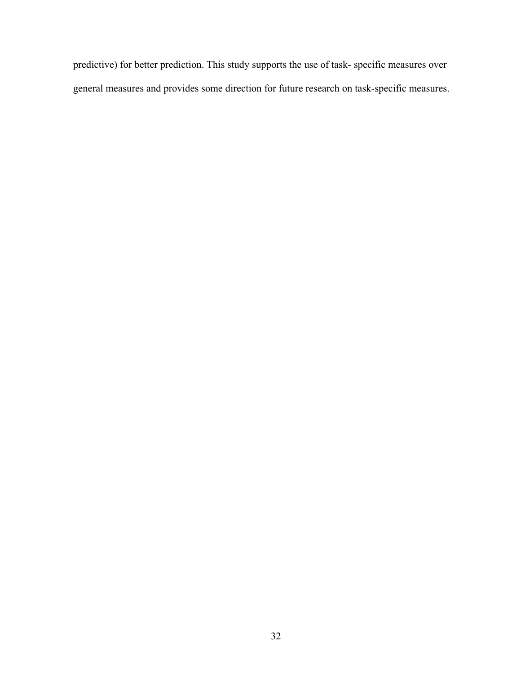predictive) for better prediction. This study supports the use of task- specific measures over general measures and provides some direction for future research on task-specific measures.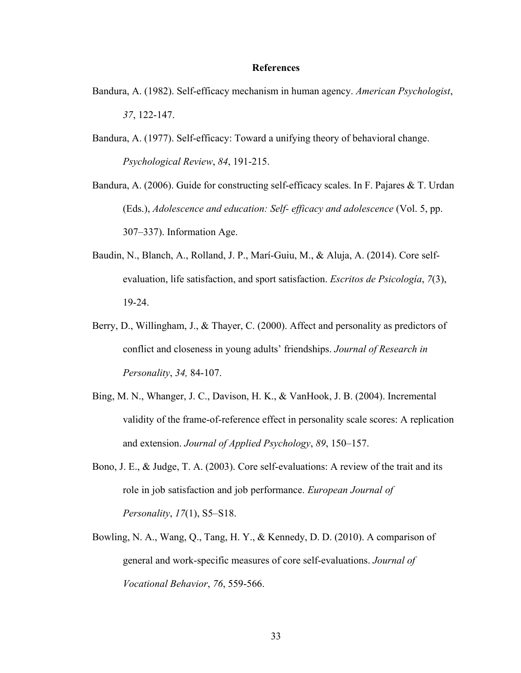#### **References**

- <span id="page-39-0"></span>Bandura, A. (1982). Self-efficacy mechanism in human agency. *American Psychologist*, *37*, 122-147.
- Bandura, A. (1977). Self-efficacy: Toward a unifying theory of behavioral change. *Psychological Review*, *84*, 191-215.
- Bandura, A. (2006). Guide for constructing self-efficacy scales. In F. Pajares & T. Urdan (Eds.), *Adolescence and education: Self- efficacy and adolescence* (Vol. 5, pp. 307–337). Information Age.
- Baudin, N., Blanch, A., Rolland, J. P., Marí-Guiu, M., & Aluja, A. (2014). Core selfevaluation, life satisfaction, and sport satisfaction. *Escritos de Psicología*, *7*(3), 19-24.
- Berry, D., Willingham, J., & Thayer, C. (2000). Affect and personality as predictors of conflict and closeness in young adults' friendships. *Journal of Research in Personality*, *34,* 84-107.
- Bing, M. N., Whanger, J. C., Davison, H. K., & VanHook, J. B. (2004). Incremental validity of the frame-of-reference effect in personality scale scores: A replication and extension. *Journal of Applied Psychology*, *89*, 150–157.
- Bono, J. E., & Judge, T. A. (2003). Core self-evaluations: A review of the trait and its role in job satisfaction and job performance. *European Journal of Personality*, *17*(1), S5–S18.
- Bowling, N. A., Wang, Q., Tang, H. Y., & Kennedy, D. D. (2010). A comparison of general and work-specific measures of core self-evaluations. *Journal of Vocational Behavior*, *76*, 559-566.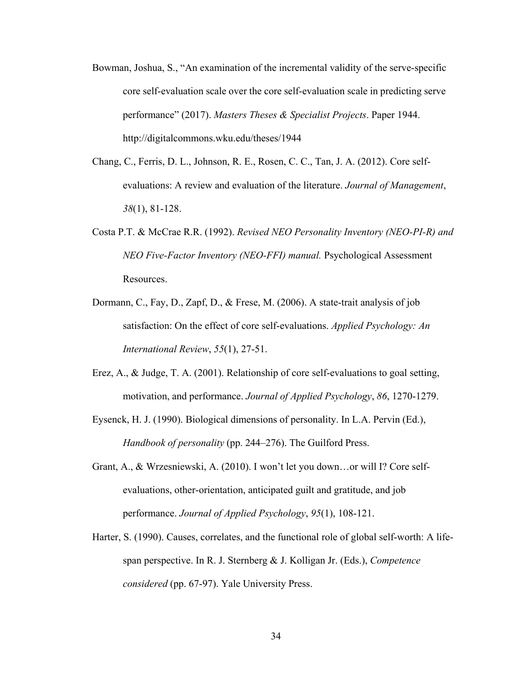- Bowman, Joshua, S., "An examination of the incremental validity of the serve-specific core self-evaluation scale over the core self-evaluation scale in predicting serve performance" (2017). *Masters Theses & Specialist Projects*. Paper 1944. <http://digitalcommons.wku.edu/theses/1944>
- Chang, C., Ferris, D. L., Johnson, R. E., Rosen, C. C., Tan, J. A. (2012). Core selfevaluations: A review and evaluation of the literature. *Journal of Management*, *38*(1), 81-128.
- Costa P.T. & McCrae R.R. (1992). *Revised NEO Personality Inventory (NEO-PI-R) and NEO Five-Factor Inventory (NEO-FFI) manual.* Psychological Assessment Resources.
- Dormann, C., Fay, D., Zapf, D., & Frese, M. (2006). A state-trait analysis of job satisfaction: On the effect of core self-evaluations. *Applied Psychology: An International Review*, *55*(1), 27-51.
- Erez, A., & Judge, T. A. (2001). Relationship of core self-evaluations to goal setting, motivation, and performance. *Journal of Applied Psychology*, *86*, 1270-1279.
- Eysenck, H. J. (1990). Biological dimensions of personality. In L.A. Pervin (Ed.), *Handbook of personality* (pp. 244–276). The Guilford Press.
- Grant, A., & Wrzesniewski, A. (2010). I won't let you down…or will I? Core selfevaluations, other-orientation, anticipated guilt and gratitude, and job performance. *Journal of Applied Psychology*, *95*(1), 108-121.
- Harter, S. (1990). Causes, correlates, and the functional role of global self-worth: A lifespan perspective. In R. J. Sternberg & J. Kolligan Jr. (Eds.), *Competence considered* (pp. 67-97). Yale University Press.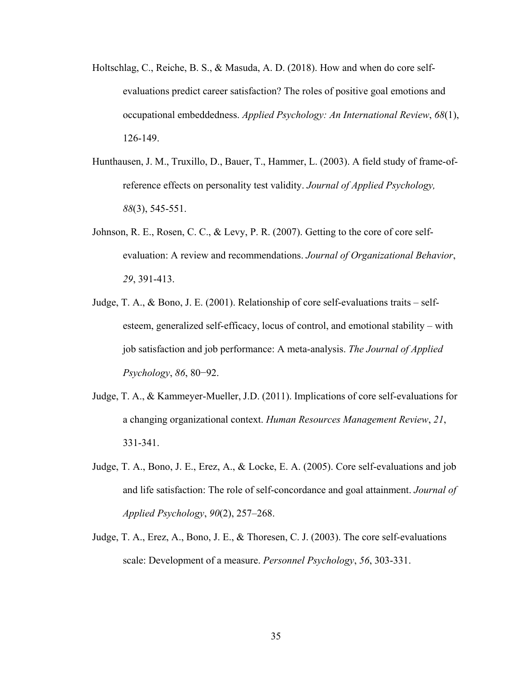- Holtschlag, C., Reiche, B. S., & Masuda, A. D. (2018). How and when do core selfevaluations predict career satisfaction? The roles of positive goal emotions and occupational embeddedness. *Applied Psychology: An International Review*, *68*(1), 126-149.
- Hunthausen, J. M., Truxillo, D., Bauer, T., Hammer, L. (2003). A field study of frame-ofreference effects on personality test validity. *Journal of Applied Psychology, 88*(3), 545-551.
- Johnson, R. E., Rosen, C. C., & Levy, P. R. (2007). Getting to the core of core selfevaluation: A review and recommendations. *Journal of Organizational Behavior*, *29*, 391-413.
- Judge, T. A., & Bono, J. E. (2001). Relationship of core self-evaluations traits selfesteem, generalized self-efficacy, locus of control, and emotional stability – with job satisfaction and job performance: A meta-analysis. *The Journal of Applied Psychology*, *86*, 80−92.
- Judge, T. A., & Kammeyer-Mueller, J.D. (2011). Implications of core self-evaluations for a changing organizational context. *Human Resources Management Review*, *21*, 331-341.
- Judge, T. A., Bono, J. E., Erez, A., & Locke, E. A. (2005). Core self-evaluations and job and life satisfaction: The role of self-concordance and goal attainment. *Journal of Applied Psychology*, *90*(2), 257–268.
- Judge, T. A., Erez, A., Bono, J. E., & Thoresen, C. J. (2003). The core self-evaluations scale: Development of a measure. *Personnel Psychology*, *56*, 303-331.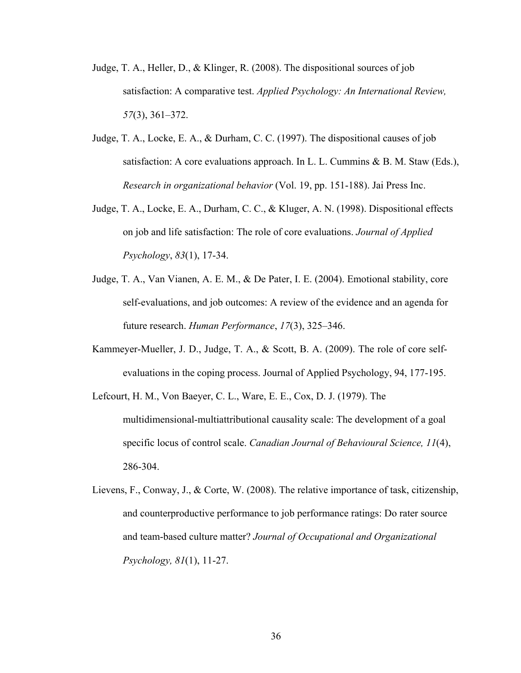- Judge, T. A., Heller, D., & Klinger, R. (2008). The dispositional sources of job satisfaction: A comparative test. *Applied Psychology: An International Review, 57*(3), 361–372.
- Judge, T. A., Locke, E. A., & Durham, C. C. (1997). The dispositional causes of job satisfaction: A core evaluations approach. In L. L. Cummins & B. M. Staw (Eds.), *Research in organizational behavior* (Vol. 19, pp. 151-188). Jai Press Inc.
- Judge, T. A., Locke, E. A., Durham, C. C., & Kluger, A. N. (1998). Dispositional effects on job and life satisfaction: The role of core evaluations. *Journal of Applied Psychology*, *83*(1), 17-34.
- Judge, T. A., Van Vianen, A. E. M., & De Pater, I. E. (2004). Emotional stability, core self-evaluations, and job outcomes: A review of the evidence and an agenda for future research. *Human Performance*, *17*(3), 325–346.
- Kammeyer-Mueller, J. D., Judge, T. A., & Scott, B. A. (2009). The role of core selfevaluations in the coping process. Journal of Applied Psychology, 94, 177-195.

Lefcourt, H. M., Von Baeyer, C. L., Ware, E. E., Cox, D. J. (1979). The multidimensional-multiattributional causality scale: The development of a goal specific locus of control scale. *Canadian Journal of Behavioural Science, 11*(4), 286-304.

Lievens, F., Conway, J., & Corte, W. (2008). The relative importance of task, citizenship, and counterproductive performance to job performance ratings: Do rater source and team-based culture matter? *Journal of Occupational and Organizational Psychology, 81*(1), 11-27.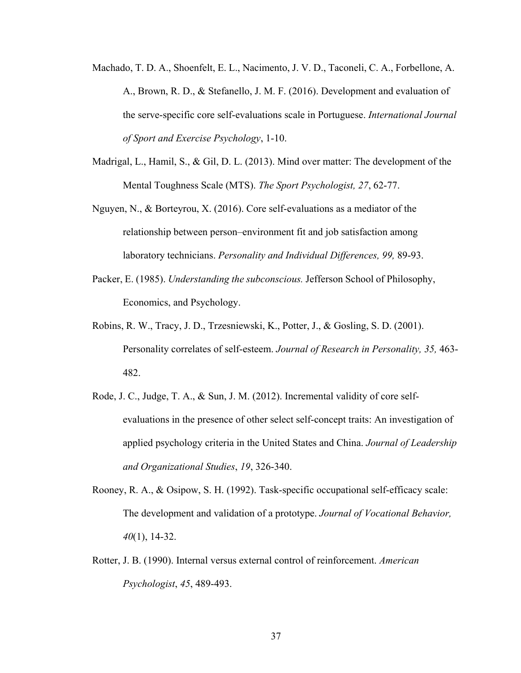- Machado, T. D. A., Shoenfelt, E. L., Nacimento, J. V. D., Taconeli, C. A., Forbellone, A. A., Brown, R. D., & Stefanello, J. M. F. (2016). Development and evaluation of the serve-specific core self-evaluations scale in Portuguese. *International Journal of Sport and Exercise Psychology*, 1-10.
- Madrigal, L., Hamil, S., & Gil, D. L. (2013). Mind over matter: The development of the Mental Toughness Scale (MTS). *The Sport Psychologist, 27*, 62-77.
- Nguyen, N., & Borteyrou, X. (2016). Core self-evaluations as a mediator of the relationship between person–environment fit and job satisfaction among laboratory technicians. *Personality and Individual Differences, 99,* 89-93.
- Packer, E. (1985). *Understanding the subconscious.* Jefferson School of Philosophy, Economics, and Psychology.
- Robins, R. W., Tracy, J. D., Trzesniewski, K., Potter, J., & Gosling, S. D. (2001). Personality correlates of self-esteem. *Journal of Research in Personality, 35,* 463- 482.
- Rode, J. C., Judge, T. A., & Sun, J. M. (2012). Incremental validity of core selfevaluations in the presence of other select self-concept traits: An investigation of applied psychology criteria in the United States and China. *Journal of Leadership and Organizational Studies*, *19*, 326-340.
- Rooney, R. A., & Osipow, S. H. (1992). Task-specific occupational self-efficacy scale: The development and validation of a prototype. *Journal of Vocational Behavior, 40*(1), 14-32.
- Rotter, J. B. (1990). Internal versus external control of reinforcement. *American Psychologist*, *45*, 489-493.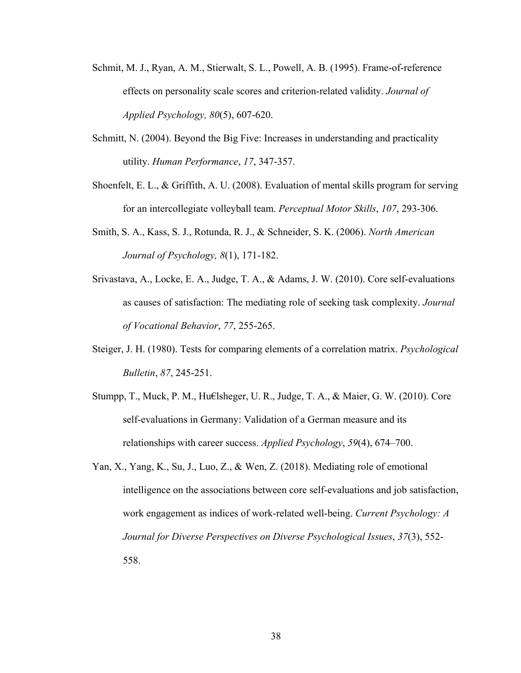- Schmit, M. J., Ryan, A. M., Stierwalt, S. L., Powell, A. B. (1995). Frame-of-reference effects on personality scale scores and criterion-related validity. *Journal of Applied Psychology, 80*(5), 607-620.
- Schmitt, N. (2004). Beyond the Big Five: Increases in understanding and practicality utility. *Human Performance*, *17*, 347-357.
- Shoenfelt, E. L., & Griffith, A. U. (2008). Evaluation of mental skills program for serving for an intercollegiate volleyball team. *Perceptual Motor Skills*, *107*, 293-306.
- Smith, S. A., Kass, S. J., Rotunda, R. J., & Schneider, S. K. (2006). *North American Journal of Psychology, 8*(1), 171-182.
- Srivastava, A., Locke, E. A., Judge, T. A., & Adams, J. W. (2010). Core self-evaluations as causes of satisfaction: The mediating role of seeking task complexity. *Journal of Vocational Behavior*, *77*, 255-265.
- Steiger, J. H. (1980). Tests for comparing elements of a correlation matrix. *Psychological Bulletin*, *87*, 245-251.
- Stumpp, T., Muck, P. M., Hu€lsheger, U. R., Judge, T. A., & Maier, G. W. (2010). Core self-evaluations in Germany: Validation of a German measure and its relationships with career success. *Applied Psychology*, *59*(4), 674–700.
- Yan, X., Yang, K., Su, J., Luo, Z., & Wen, Z. (2018). Mediating role of emotional intelligence on the associations between core self-evaluations and job satisfaction, work engagement as indices of work-related well-being. *Current Psychology: A Journal for Diverse Perspectives on Diverse Psychological Issues*, *37*(3), 552- 558.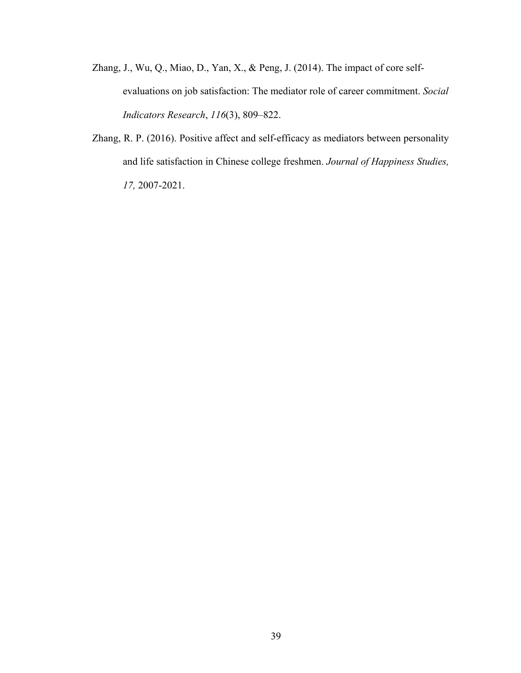- Zhang, J., Wu, Q., Miao, D., Yan, X., & Peng, J. (2014). The impact of core selfevaluations on job satisfaction: The mediator role of career commitment. *Social Indicators Research*, *116*(3), 809–822.
- Zhang, R. P. (2016). Positive affect and self-efficacy as mediators between personality and life satisfaction in Chinese college freshmen. *Journal of Happiness Studies, 17,* 2007-2021.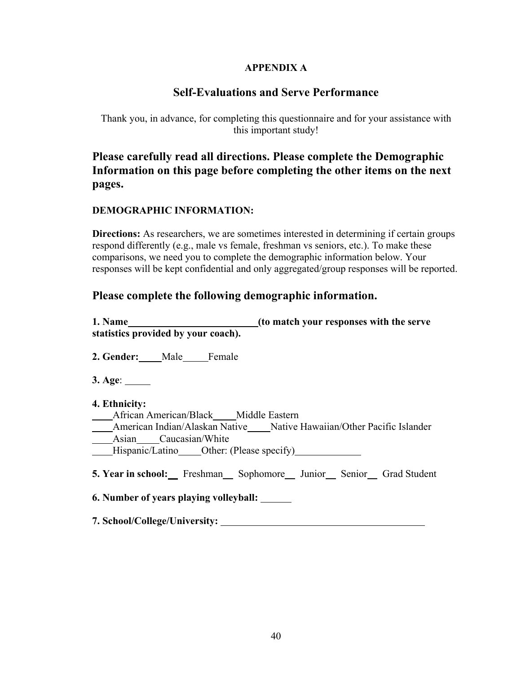# **APPENDIX A**

# **Self-Evaluations and Serve Performance**

<span id="page-46-0"></span>Thank you, in advance, for completing this questionnaire and for your assistance with this important study!

**Please carefully read all directions. Please complete the Demographic Information on this page before completing the other items on the next pages.**

# **DEMOGRAPHIC INFORMATION:**

**Directions:** As researchers, we are sometimes interested in determining if certain groups respond differently (e.g., male vs female, freshman vs seniors, etc.). To make these comparisons, we need you to complete the demographic information below. Your responses will be kept confidential and only aggregated/group responses will be reported.

# **Please complete the following demographic information.**

| 1. Name                             | (to match your responses with the serve |
|-------------------------------------|-----------------------------------------|
| statistics provided by your coach). |                                         |

**2. Gender:** Male Female

**3. Age**:

**4. Ethnicity:**

 African American/Black Middle Eastern American Indian/Alaskan Native Native Hawaiian/Other Pacific Islander Asian Caucasian/White Hispanic/Latino Other: (Please specify)

**5. Year in school:** Freshman Sophomore Junior Senior Grad Student

**6. Number of years playing volleyball:** 

**7. School/College/University:**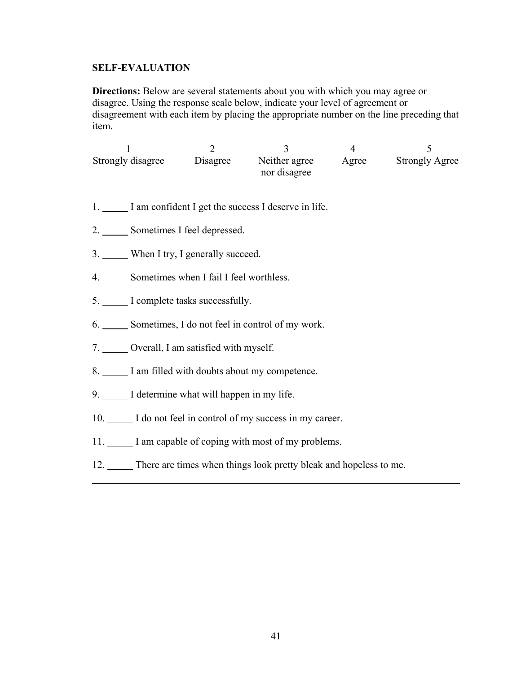## **SELF-EVALUATION**

**Directions:** Below are several statements about you with which you may agree or disagree. Using the response scale below, indicate your level of agreement or disagreement with each item by placing the appropriate number on the line preceding that item.

|                                     | $\overline{2}$                             | 3<br>Strongly disagree Disagree Neither agree Agree Strongly Agree<br>nor disagree | $\overline{4}$ | 5 |  |  |
|-------------------------------------|--------------------------------------------|------------------------------------------------------------------------------------|----------------|---|--|--|
|                                     |                                            | 1. I am confident I get the success I deserve in life.                             |                |   |  |  |
|                                     | 2. Sometimes I feel depressed.             |                                                                                    |                |   |  |  |
| 3. When I try, I generally succeed. |                                            |                                                                                    |                |   |  |  |
|                                     | 4. Sometimes when I fail I feel worthless. |                                                                                    |                |   |  |  |
|                                     | 5. I complete tasks successfully.          |                                                                                    |                |   |  |  |
|                                     |                                            | 6. Sometimes, I do not feel in control of my work.                                 |                |   |  |  |
|                                     | 7. Overall, I am satisfied with myself.    |                                                                                    |                |   |  |  |
|                                     |                                            | 8. I am filled with doubts about my competence.                                    |                |   |  |  |

- 9. I determine what will happen in my life.
- 10. I do not feel in control of my success in my career.
- 11. I am capable of coping with most of my problems.
- 12. There are times when things look pretty bleak and hopeless to me.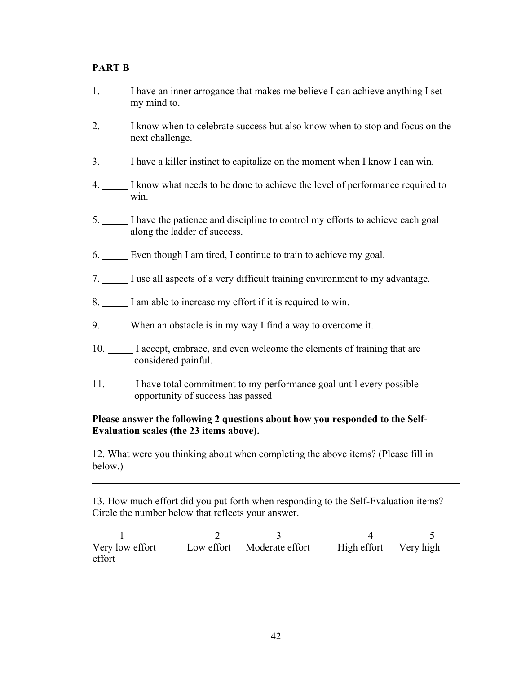## **PART B**

- 1. I have an inner arrogance that makes me believe I can achieve anything I set my mind to.
- 2. I know when to celebrate success but also know when to stop and focus on the next challenge.
- 3. I have a killer instinct to capitalize on the moment when I know I can win.
- 4. I know what needs to be done to achieve the level of performance required to win.
- 5. I have the patience and discipline to control my efforts to achieve each goal along the ladder of success.
- 6. Even though I am tired, I continue to train to achieve my goal.
- 7. I use all aspects of a very difficult training environment to my advantage.
- 8. I am able to increase my effort if it is required to win.
- 9. When an obstacle is in my way I find a way to overcome it.
- 10. I accept, embrace, and even welcome the elements of training that are considered painful.
- 11. I have total commitment to my performance goal until every possible opportunity of success has passed

### **Please answer the following 2 questions about how you responded to the Self-Evaluation scales (the 23 items above).**

12. What were you thinking about when completing the above items? (Please fill in below.)

13. How much effort did you put forth when responding to the Self-Evaluation items? Circle the number below that reflects your answer.

 $1 2 3 4 5$ Very low effort Low effort Moderate effort High effort Very high effort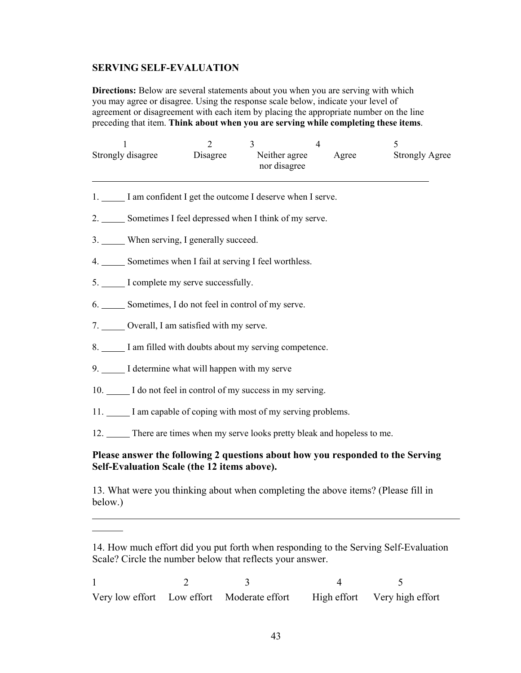### **SERVING SELF-EVALUATION**

**Directions:** Below are several statements about you when you are serving with which you may agree or disagree. Using the response scale below, indicate your level of agreement or disagreement with each item by placing the appropriate number on the line preceding that item. **Think about when you are serving while completing these items**.

| Strongly disagree | Disagree | Neither agree<br>nor disagree | Agree | <b>Strongly Agree</b> |
|-------------------|----------|-------------------------------|-------|-----------------------|

- 1. I am confident I get the outcome I deserve when I serve.
- 2. Sometimes I feel depressed when I think of my serve.
- 3. When serving, I generally succeed.
- 4. Sometimes when I fail at serving I feel worthless.
- 5. I complete my serve successfully.
- 6. Sometimes, I do not feel in control of my serve.
- 7. Overall, I am satisfied with my serve.
- 8. I am filled with doubts about my serving competence.
- 9. I determine what will happen with my serve
- 10. I do not feel in control of my success in my serving.
- 11.  $\Box$  I am capable of coping with most of my serving problems.
- 12. There are times when my serve looks pretty bleak and hopeless to me.

## **Please answer the following 2 questions about how you responded to the Serving Self-Evaluation Scale (the 12 items above).**

13. What were you thinking about when completing the above items? (Please fill in below.)

<sup>14.</sup> How much effort did you put forth when responding to the Serving Self-Evaluation Scale? Circle the number below that reflects your answer.

 $1 2 3 4 5$ Very low effort Low effort Moderate effort High effort Very high effort